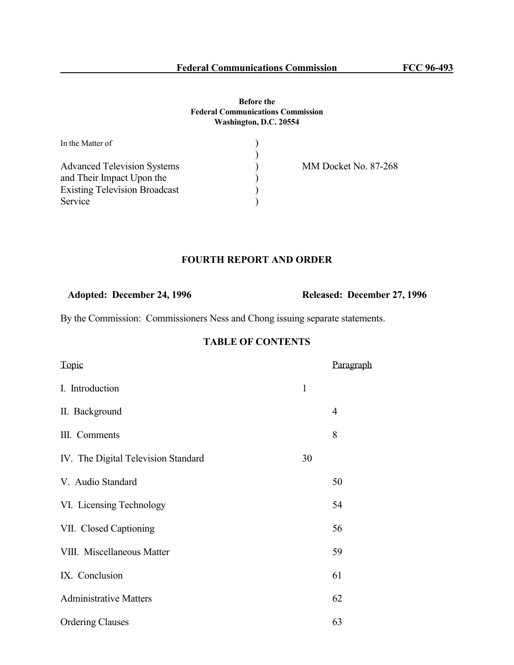#### **Before the Federal Communications Commission Washington, D.C. 20554**

| In the Matter of                     |                      |
|--------------------------------------|----------------------|
|                                      |                      |
| <b>Advanced Television Systems</b>   | MM Docket No. 87-268 |
| and Their Impact Upon the            |                      |
| <b>Existing Television Broadcast</b> |                      |
| Service                              |                      |

# **FOURTH REPORT AND ORDER**

**Adopted: December 24, 1996 Released: December 27, 1996** 

By the Commission: Commissioners Ness and Chong issuing separate statements.

# **TABLE OF CONTENTS**

| Topic                               |              | <u>Paragraph</u> |
|-------------------------------------|--------------|------------------|
| I. Introduction                     | $\mathbf{1}$ |                  |
| II. Background                      |              | $\overline{4}$   |
| III. Comments                       |              | 8                |
| IV. The Digital Television Standard | 30           |                  |
| V. Audio Standard                   |              | 50               |
| VI. Licensing Technology            |              | 54               |
| VII. Closed Captioning              |              | 56               |
| VIII. Miscellaneous Matter          |              | 59               |
| IX. Conclusion                      |              | 61               |
| <b>Administrative Matters</b>       |              | 62               |
| <b>Ordering Clauses</b>             |              | 63               |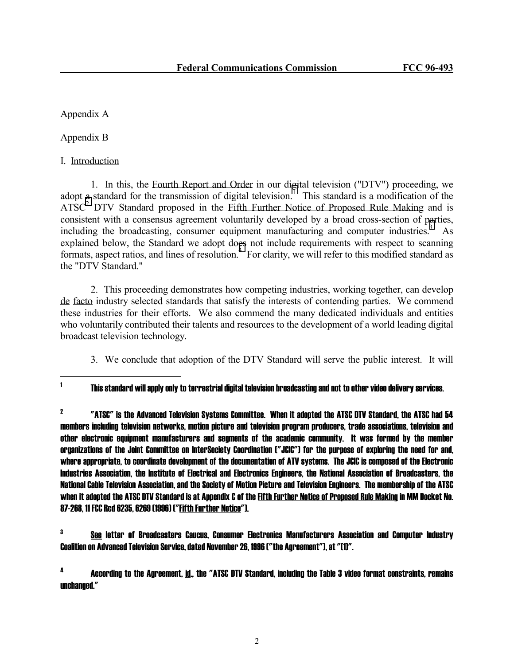Appendix A

Appendix B

I. Introduction

 1. In this, the Fourth Report and Order in our digital television ("DTV") proceeding, we adopt a standard for the transmission of digital television.<sup>T</sup> This standard is a modification of the  $ATSC<sup>2</sup>$  DTV Standard proposed in the Eifth Further Notice of Proposed Rule Making and is consistent with a consensus agreement voluntarily developed by a broad cross-section of parties, including the broadcasting, consumer equipment manufacturing and computer industries.<sup>3</sup> As explained below, the Standard we adopt does not include requirements with respect to scanning formats, aspect ratios, and lines of resolution.<sup>4</sup> For clarity, we will refer to this modified standard as the "DTV Standard."

 2. This proceeding demonstrates how competing industries, working together, can develop de facto industry selected standards that satisfy the interests of contending parties. We commend these industries for their efforts. We also commend the many dedicated individuals and entities who voluntarily contributed their talents and resources to the development of a world leading digital broadcast television technology.

3. We conclude that adoption of the DTV Standard will serve the public interest. It will

-<br>1

This standard will apply only to terrestrial digital television broadcasting and not to other video delivery services.

2 "ATSC" is the Advanced Television Systems Committee. When it adopted the ATSC DTV Standard, the ATSC had 54 members including television networks, motion picture and television program producers, trade associations, television and other electronic equipment manufacturers and segments of the academic community. It was formed by the member organizations of the Joint Committee on InterSociety Coordination ("JCIC") for the purpose of exploring the need for and, where appropriate, to coordinate development of the documentation of ATV systems. The JCIC is composed of the Electronic Industries Association, the Institute of Electrical and Electronics Engineers, the National Association of Broadcasters, the National Cable Television Association, and the Society of Motion Picture and Television Engineers. The membership of the ATSC when it adopted the ATSC DTV Standard is at Appendix C of the Fifth Further Notice of Proposed Rule Making in MM Docket No. 87-268, 11 FCC Rcd 6235, 6269 (1996) ("Fifth Further Notice").

3 See letter of Broadcasters Caucus, Consumer Electronics Manufacturers Association and Computer Industry Coalition on Advanced Television Service, dated November 26, 1996 ("the Agreement"), at "(1)".

4 According to the Agreement, id., the "ATSC DTV Standard, including the Table 3 video format constraints, remains unchanged."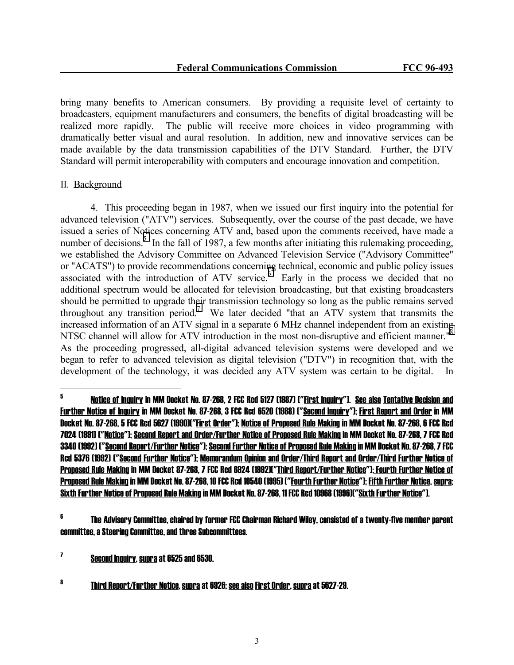bring many benefits to American consumers. By providing a requisite level of certainty to broadcasters, equipment manufacturers and consumers, the benefits of digital broadcasting will be realized more rapidly. The public will receive more choices in video programming with dramatically better visual and aural resolution. In addition, new and innovative services can be made available by the data transmission capabilities of the DTV Standard. Further, the DTV Standard will permit interoperability with computers and encourage innovation and competition.

#### II. Background

 4. This proceeding began in 1987, when we issued our first inquiry into the potential for advanced television ("ATV") services. Subsequently, over the course of the past decade, we have issued a series of Notices concerning ATV and, based upon the comments received, have made a number of decisions.<sup>5</sup> In the fall of 1987, a few months after initiating this rulemaking proceeding, we established the Advisory Committee on Advanced Television Service ("Advisory Committee" or "ACATS") to provide recommendations concerning technical, economic and public policy issues associated with the introduction of ATV service. $\int_{0}^{\infty}$  Early in the process we decided that no additional spectrum would be allocated for television broadcasting, but that existing broadcasters should be permitted to upgrade their transmission technology so long as the public remains served throughout any transition period.<sup>7</sup> We later decided "that an ATV system that transmits the increased information of an ATV signal in a separate 6 MHz channel independent from an existing NTSC channel will allow for ATV introduction in the most non-disruptive and efficient manner."<sup>8</sup> As the proceeding progressed, all-digital advanced television systems were developed and we began to refer to advanced television as digital television ("DTV") in recognition that, with the development of the technology, it was decided any ATV system was certain to be digital. In

<sup>-&</sup>lt;br>5 Notice of Inquiry in MM Docket No. 87-268, 2 FCC Rcd 5127 (1987) ("First Inquiry"). See also Tentative Decision and Further Notice of Inquiry in MM Docket No. 87-268, 3 FCC Rcd 6520 (1988) ("Second Inquiry"); First Report and Order in MM Docket No. 87-268, 5 FCC Rcd 5627 (1990)("First Order"); Notice of Proposed Rule Making in MM Docket No. 87-268, 6 FCC Rcd 7024 (1991) ("Notice"); Second Report and Order/Further Notice of Proposed Rule Making in MM Docket No. 87-268, 7 FCC Rcd 3340 (1992) ("Second Report/Further Notice"); Second Further Notice of Proposed Rule Making in MM Docket No. 87-268, 7 FCC Rcd 5376 (1992) ("Second Further Notice"); Memorandum Opinion and Order/Third Report and Order/Third Further Notice of Proposed Rule Making in MM Docket 87-268, 7 FCC Rcd 6924 (1992)("Third Report/Further Notice"); Fourth Further Notice of Proposed Rule Making in MM Docket No. 87-268, 10 FCC Rcd 10540 (1995) ("Fourth Further Notice"); Fifth Further Notice, supra; Sixth Further Notice of Proposed Rule Making in MM Docket No. 87-268, 11 FCC Rcd 10968 (1996)("Sixth Further Notice").

<sup>6</sup> The Advisory Committee, chaired by former FCC Chairman Richard Wiley, consisted of a twenty-five member parent committee, a Steering Committee, and three Subcommittees.

<sup>7</sup> Second Inquiry, supra at 6525 and 6530.

<sup>8</sup> Third Report/Further Notice, supra at 6926; see also First Order, supra at 5627-29.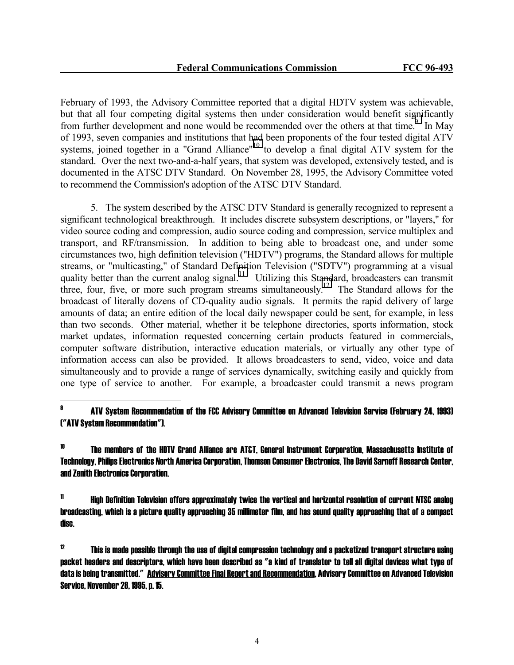February of 1993, the Advisory Committee reported that a digital HDTV system was achievable, but that all four competing digital systems then under consideration would benefit significantly from further development and none would be recommended over the others at that time.<sup>9</sup> In May of 1993, seven companies and institutions that had been proponents of the four tested digital ATV systems, joined together in a "Grand Alliance"<sup>10</sup> to develop a final digital ATV system for the standard. Over the next two-and-a-half years, that system was developed, extensively tested, and is documented in the ATSC DTV Standard. On November 28, 1995, the Advisory Committee voted to recommend the Commission's adoption of the ATSC DTV Standard.

 5. The system described by the ATSC DTV Standard is generally recognized to represent a significant technological breakthrough. It includes discrete subsystem descriptions, or "layers," for video source coding and compression, audio source coding and compression, service multiplex and transport, and RF/transmission. In addition to being able to broadcast one, and under some circumstances two, high definition television ("HDTV") programs, the Standard allows for multiple streams, or "multicasting," of Standard Definition Television ("SDTV") programming at a visual quality better than the current analog signal.<sup>11</sup> Utilizing this Standard, broadcasters can transmit three, four, five, or more such program streams simultaneously.<sup>12</sup> The Standard allows for the broadcast of literally dozens of CD-quality audio signals. It permits the rapid delivery of large amounts of data; an entire edition of the local daily newspaper could be sent, for example, in less than two seconds. Other material, whether it be telephone directories, sports information, stock market updates, information requested concerning certain products featured in commercials, computer software distribution, interactive education materials, or virtually any other type of information access can also be provided. It allows broadcasters to send, video, voice and data simultaneously and to provide a range of services dynamically, switching easily and quickly from one type of service to another. For example, a broadcaster could transmit a news program

#### 9 ATV System Recommendation of the FCC Advisory Committee on Advanced Television Service (February 24, 1993) ("ATV System Recommendation").

j

10 The members of the HDTV Grand Alliance are AT&T, General Instrument Corporation, Massachusetts Institute of Technology, Philips Electronics North America Corporation, Thomson Consumer Electronics, The David Sarnoff Research Center, and Zenith Electronics Corporation.

 $11$  High Definition Television offers approximately twice the vertical and horizontal resolution of current NTSC analog broadcasting, which is a picture quality approaching 35 millimeter film, and has sound quality approaching that of a compact disc.

 $12$  This is made possible through the use of digital compression technology and a packetized transport structure using packet headers and descriptors, which have been described as "a kind of translator to tell all digital devices what type of data is being transmitted." Advisory Committee Final Report and Recommendation, Advisory Committee on Advanced Television Service, November 28, 1995, p. 15.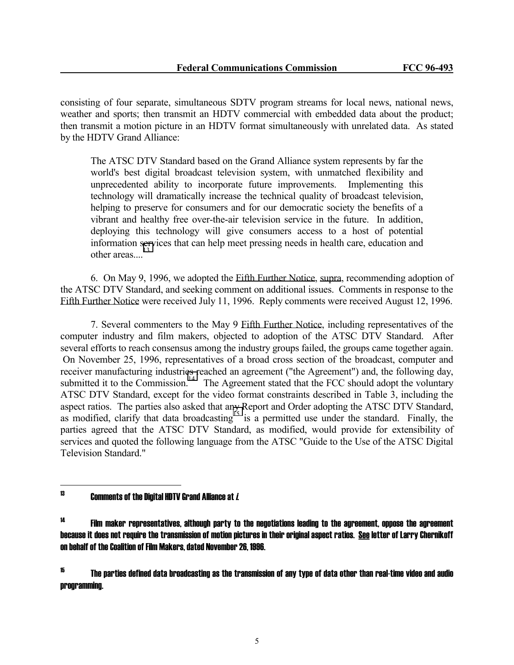consisting of four separate, simultaneous SDTV program streams for local news, national news, weather and sports; then transmit an HDTV commercial with embedded data about the product; then transmit a motion picture in an HDTV format simultaneously with unrelated data. As stated by the HDTV Grand Alliance:

 The ATSC DTV Standard based on the Grand Alliance system represents by far the world's best digital broadcast television system, with unmatched flexibility and unprecedented ability to incorporate future improvements. Implementing this technology will dramatically increase the technical quality of broadcast television, helping to preserve for consumers and for our democratic society the benefits of a vibrant and healthy free over-the-air television service in the future. In addition, deploying this technology will give consumers access to a host of potential information services that can help meet pressing needs in health care, education and other areas... $^{13}$ 

 6. On May 9, 1996, we adopted the Fifth Further Notice, supra, recommending adoption of the ATSC DTV Standard, and seeking comment on additional issues. Comments in response to the Fifth Further Notice were received July 11, 1996. Reply comments were received August 12, 1996.

 7. Several commenters to the May 9 Fifth Further Notice, including representatives of the computer industry and film makers, objected to adoption of the ATSC DTV Standard. After several efforts to reach consensus among the industry groups failed, the groups came together again. On November 25, 1996, representatives of a broad cross section of the broadcast, computer and receiver manufacturing industries reached an agreement ("the Agreement") and, the following day, submitted it to the Commission.<sup>14</sup> The Agreement stated that the FCC should adopt the voluntary ATSC DTV Standard, except for the video format constraints described in Table 3, including the aspect ratios. The parties also asked that any Report and Order adopting the ATSC DTV Standard, as modified, clarify that data broadcasting<sup> $15$ </sup> is a permitted use under the standard. Finally, the parties agreed that the ATSC DTV Standard, as modified, would provide for extensibility of services and quoted the following language from the ATSC "Guide to the Use of the ATSC Digital Television Standard."

#### 13 Comments of the Digital HDTV Grand Alliance at i.

 $14$  Film maker representatives, although party to the negotiations leading to the agreement, oppose the agreement because it does not require the transmission of motion pictures in their original aspect ratios. See letter of Larry Chernikoff on behalf of the Coalition of Film Makers, dated November 26, 1996.

 $^{15}$  The parties defined data broadcasting as the transmission of any type of data other than real-time video and audio programming.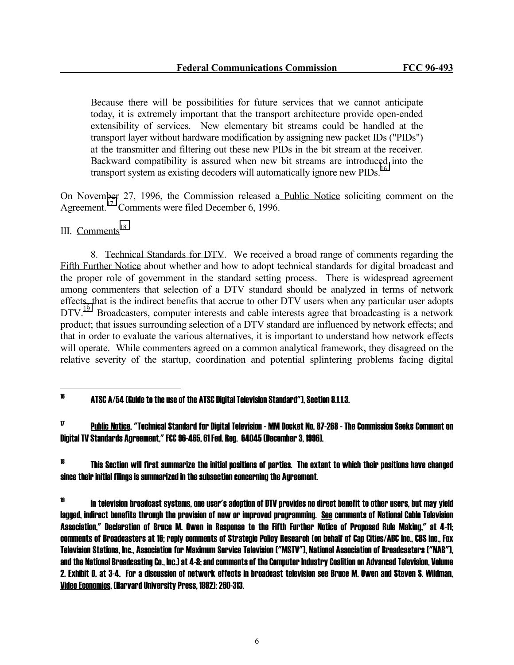Because there will be possibilities for future services that we cannot anticipate today, it is extremely important that the transport architecture provide open-ended extensibility of services. New elementary bit streams could be handled at the transport layer without hardware modification by assigning new packet IDs ("PIDs") at the transmitter and filtering out these new PIDs in the bit stream at the receiver. Backward compatibility is assured when new bit streams are introduced into the transport system as existing decoders will automatically ignore new PIDs.<sup>16</sup>

On November 27, 1996, the Commission released a Public Notice soliciting comment on the Agreement.17 Comments were filed December 6, 1996.

# III. Comments $18$

j

 8. Technical Standards for DTV. We received a broad range of comments regarding the Fifth Further Notice about whether and how to adopt technical standards for digital broadcast and the proper role of government in the standard setting process. There is widespread agreement among commenters that selection of a DTV standard should be analyzed in terms of network effects, that is the indirect benefits that accrue to other DTV users when any particular user adopts DTV.<sup>19</sup> Broadcasters, computer interests and cable interests agree that broadcasting is a network product; that issues surrounding selection of a DTV standard are influenced by network effects; and that in order to evaluate the various alternatives, it is important to understand how network effects will operate. While commenters agreed on a common analytical framework, they disagreed on the relative severity of the startup, coordination and potential splintering problems facing digital

 $16$  ATSC A/54 (Guide to the use of the ATSC Digital Television Standard"), Section 8.1.1.3.

 $17$  Public Notice, "Technical Standard for Digital Television - MM Docket No. 87-268 - The Commission Seeks Comment on Digital TV Standards Agreement," FCC 96-465, 61 Fed. Reg. 64045 (December 3, 1996).

 $^{18}$  This Section will first summarize the initial positions of parties. The extent to which their positions have changed since their initial filings is summarized in the subsection concerning the Agreement.

<sup>&</sup>lt;sup>19</sup> In television broadcast systems, one user's adoption of DTV provides no direct benefit to other users, but may yield lagged, indirect benefits through the provision of new or improved programming. See comments of National Cable Television Association," Declaration of Bruce M. Owen in Response to the Fifth Further Notice of Proposed Rule Making," at 4-11; comments of Broadcasters at 16; reply comments of Strategic Policy Research (on behalf of Cap Cities/ABC Inc., CBS Inc., Fox Television Stations, Inc., Association for Maximum Service Television ("MSTV"), National Association of Broadcasters ("NAB"), and the National Broadcasting Co., Inc.) at 4-8; and comments of the Computer Industry Coalition on Advanced Television, Volume 2, Exhibit D, at 3-4. For a discussion of network effects in broadcast television see Bruce M. Owen and Steven S. Wildman, Video Economics, (Harvard University Press, 1992): 260-313.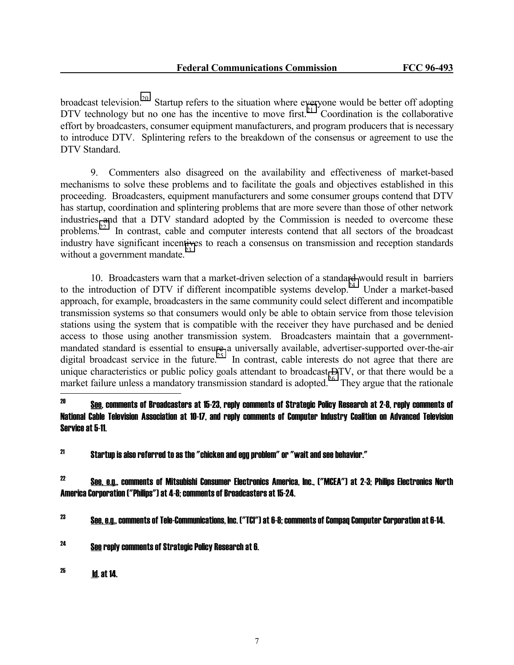broadcast television.<sup>20</sup> Startup refers to the situation where everyone would be better off adopting DTV technology but no one has the incentive to move first.<sup>21</sup> Coordination is the collaborative effort by broadcasters, consumer equipment manufacturers, and program producers that is necessary to introduce DTV. Splintering refers to the breakdown of the consensus or agreement to use the DTV Standard.

 9. Commenters also disagreed on the availability and effectiveness of market-based mechanisms to solve these problems and to facilitate the goals and objectives established in this proceeding. Broadcasters, equipment manufacturers and some consumer groups contend that DTV has startup, coordination and splintering problems that are more severe than those of other network industries and that a DTV standard adopted by the Commission is needed to overcome these problems.<sup>22</sup> In contrast, cable and computer interests contend that all sectors of the broadcast industry have significant incentives to reach a consensus on transmission and reception standards without a government mandate. $^{23}$ 

 10. Broadcasters warn that a market-driven selection of a standard would result in barriers to the introduction of DTV if different incompatible systems develop.<sup>24</sup> Under a market-based approach, for example, broadcasters in the same community could select different and incompatible transmission systems so that consumers would only be able to obtain service from those television stations using the system that is compatible with the receiver they have purchased and be denied access to those using another transmission system. Broadcasters maintain that a governmentmandated standard is essential to ensure a universally available, advertiser-supported over-the-air digital broadcast service in the future.<sup>25</sup> In contrast, cable interests do not agree that there are unique characteristics or public policy goals attendant to broadcast DTV, or that there would be a market failure unless a mandatory transmission standard is adopted.<sup>26</sup> They argue that the rationale

 $^{22}$  See, e.g., comments of Mitsubishi Consumer Electronics America, Inc., ("MCEA") at 2-3; Philips Electronics North America Corporation ("Philips") at 4-8; comments of Broadcasters at 15-24.

 $^{23}$  See, e.g., comments of Tele-Communications, Inc. ("TCI") at 6-8; comments of Compaq Computer Corporation at 6-14.

24 See reply comments of Strategic Policy Research at 6.

 $^{25}$  **Id. at 14.** 

 $20$ See, comments of Broadcasters at 15-23, reply comments of Strategic Policy Research at 2-8, reply comments of National Cable Television Association at 10-17, and reply comments of Computer Industry Coalition on Advanced Television Service at 5-11.

 $^{21}$  Startup is also referred to as the "chicken and egg problem" or "wait and see behavior."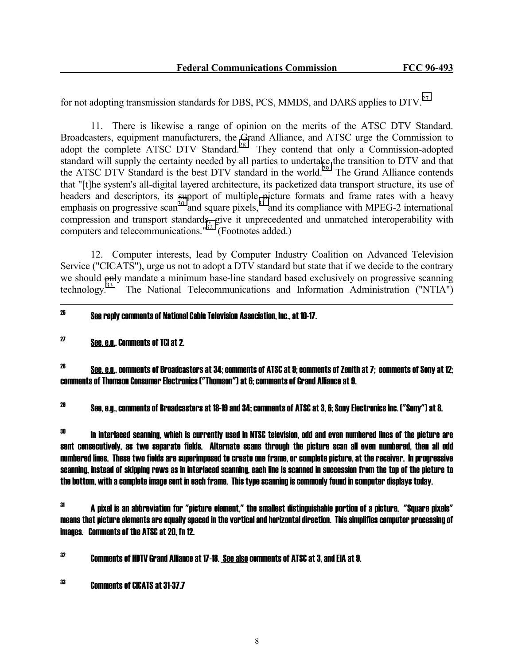for not adopting transmission standards for DBS, PCS, MMDS, and DARS applies to  $DTV<sup>27</sup>$ 

 11. There is likewise a range of opinion on the merits of the ATSC DTV Standard. Broadcasters, equipment manufacturers, the Grand Alliance, and ATSC urge the Commission to adopt the complete ATSC DTV Standard.<sup>28</sup> They contend that only a Commission-adopted standard will supply the certainty needed by all parties to undertake the transition to DTV and that the ATSC DTV Standard is the best DTV standard in the world.<sup>29</sup> The Grand Alliance contends that "[t]he system's all-digital layered architecture, its packetized data transport structure, its use of headers and descriptors, its support of multiple picture formats and frame rates with a heavy emphasis on progressive scan<sup>30</sup> and square pixels,<sup>31</sup> and its compliance with MPEG-2 international compression and transport standards, give it unprecedented and unmatched interoperability with computers and telecommunications." $^{32}$  (Footnotes added.)

 12. Computer interests, lead by Computer Industry Coalition on Advanced Television Service ("CICATS"), urge us not to adopt a DTV standard but state that if we decide to the contrary we should only mandate a minimum base-line standard based exclusively on progressive scanning<br>technology.<sup>33</sup> The National Telecommunications and Information Administration ("NTIA") The National Telecommunications and Information Administration ("NTIA")

# $^{26}$  See reply comments of National Cable Television Association. Inc., at 10-17.

# $^{27}$  See, e.g., Comments of TCI at 2.

 $^{28}$  See, e.g., comments of Broadcasters at 34; comments of ATSC at 9; comments of Zenith at 7; comments of Sony at 12; comments of Thomson Consumer Electronics ("Thomson") at 6; comments of Grand Alliance at 9.

 $^{29}$  See, e.g., comments of Broadcasters at 18-19 and 34; comments of ATSC at 3, 6; Sony Electronics Inc. ("Sony") at 8.

 $^{\rm 30}$  In interlaced scanning, which is currently used in NTSC television, odd and even numbered lines of the picture are sent consecutively, as two separate fields. Alternate scans through the picture scan all even numbered, then all odd numbered lines. These two fields are superimposed to create one frame, or complete picture, at the receiver. In progressive scanning, instead of skipping rows as in interlaced scanning, each line is scanned in succession from the top of the picture to the bottom, with a complete image sent in each frame. This type scanning is commonly found in computer displays today.

 $31$  A pixel is an abbreviation for "picture element," the smallest distinguishable portion of a picture. "Square pixels" means that picture elements are equally spaced in the vertical and horizontal direction. This simplifies computer processing of images. Comments of the ATSC at 20, fn 12.

 $32$  Comments of HDTV Grand Alliance at 17-18. See also comments of ATSC at 3, and EIA at 9.

33 Comments of CICATS at 31-37.7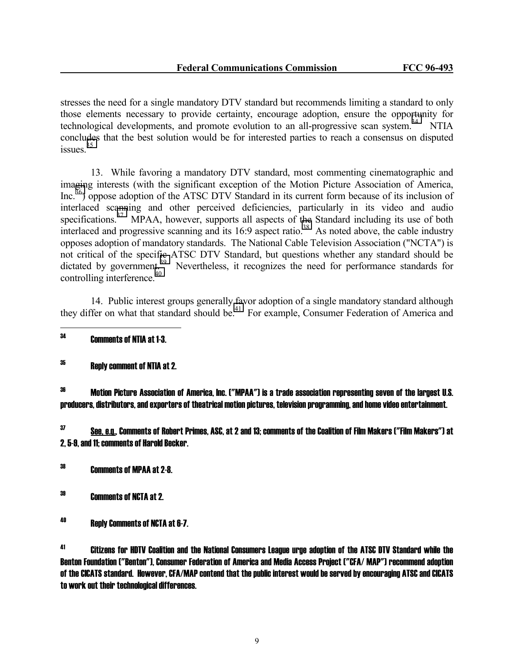stresses the need for a single mandatory DTV standard but recommends limiting a standard to only those elements necessary to provide certainty, encourage adoption, ensure the opportunity for technological developments, and promote evolution to an all-progressive scan system.<sup>34</sup> NTIA concludes that the best solution would be for interested parties to reach a consensus on disputed issues.<sup>35</sup>

 13. While favoring a mandatory DTV standard, most commenting cinematographic and imaging interests (with the significant exception of the Motion Picture Association of America, Inc.36) oppose adoption of the ATSC DTV Standard in its current form because of its inclusion of interlaced scanning and other perceived deficiencies, particularly in its video and audio specifications.<sup>37</sup> MPAA, however, supports all aspects of the Standard including its use of both interlaced and progressive scanning and its  $16:9$  aspect ratio.<sup>38</sup> As noted above, the cable industry opposes adoption of mandatory standards. The National Cable Television Association ("NCTA") is not critical of the specific ATSC DTV Standard, but questions whether any standard should be dictated by government.<sup>39</sup> Nevertheless, it recognizes the need for performance standards for controlling interference. $40$ 

 14. Public interest groups generally favor adoption of a single mandatory standard although they differ on what that standard should be.<sup>41</sup> For example, Consumer Federation of America and

34 Comments of NTIA at 1-3.

 $35$  Reply comment of NTIA at 2.

 $36$  Motion Picture Association of America, Inc. ("MPAA") is a trade association representing seven of the largest U.S. producers, distributors, and exporters of theatrical motion pictures, television programming, and home video entertainment.

 $37$  See, e.g., Comments of Robert Primes, ASC, at 2 and 13; comments of the Coalition of Film Makers ("Film Makers") at 2, 5-9, and 11; comments of Harold Becker.

38 Comments of MPAA at 2-8.

39 Comments of NCTA at 2.

40 Reply Comments of NCTA at 6-7.

41 Citizens for HDTV Coalition and the National Consumers League urge adoption of the ATSC DTV Standard while the Benton Foundation ("Benton"), Consumer Federation of America and Media Access Project ("CFA/ MAP") recommend adoption of the CICATS standard. However, CFA/MAP contend that the public interest would be served by encouraging ATSC and CICATS to work out their technological differences.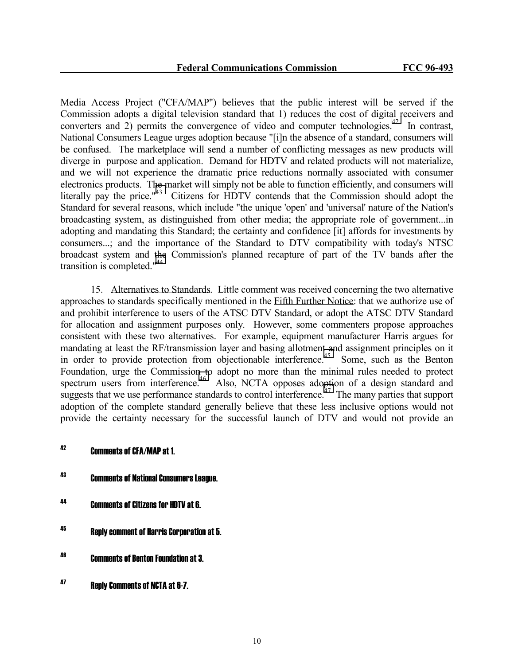Media Access Project ("CFA/MAP") believes that the public interest will be served if the Commission adopts a digital television standard that 1) reduces the cost of digital receivers and converters and 2) permits the convergence of video and computer technologies.<sup>42</sup> In contrast, National Consumers League urges adoption because "[i]n the absence of a standard, consumers will be confused. The marketplace will send a number of conflicting messages as new products will diverge in purpose and application. Demand for HDTV and related products will not materialize, and we will not experience the dramatic price reductions normally associated with consumer electronics products. The market will simply not be able to function efficiently, and consumers will literally pay the price." $43$  Citizens for HDTV contends that the Commission should adopt the Standard for several reasons, which include "the unique 'open' and 'universal' nature of the Nation's broadcasting system, as distinguished from other media; the appropriate role of government...in adopting and mandating this Standard; the certainty and confidence [it] affords for investments by consumers...; and the importance of the Standard to DTV compatibility with today's NTSC broadcast system and the Commission's planned recapture of part of the TV bands after the transition is completed."<sup>44</sup>

 15. Alternatives to Standards. Little comment was received concerning the two alternative approaches to standards specifically mentioned in the Fifth Further Notice: that we authorize use of and prohibit interference to users of the ATSC DTV Standard, or adopt the ATSC DTV Standard for allocation and assignment purposes only. However, some commenters propose approaches consistent with these two alternatives. For example, equipment manufacturer Harris argues for mandating at least the RF/transmission layer and basing allotment and assignment principles on it in order to provide protection from objectionable interference.<sup>45</sup> Some, such as the Benton Foundation, urge the Commission to adopt no more than the minimal rules needed to protect spectrum users from interference.<sup>46</sup> Also, NCTA opposes adoption of a design standard and suggests that we use performance standards to control interference.<sup> $47$ </sup> The many parties that support adoption of the complete standard generally believe that these less inclusive options would not provide the certainty necessary for the successful launch of DTV and would not provide an

- 43 Comments of National Consumers League.
- 44 Comments of Citizens for HDTV at 6.
- 45 Reply comment of Harris Corporation at 5.
- 46 Comments of Benton Foundation at 3.
- 47 Reply Comments of NCTA at 6-7.

<sup>42</sup> 42 Comments of CFA/MAP at 1.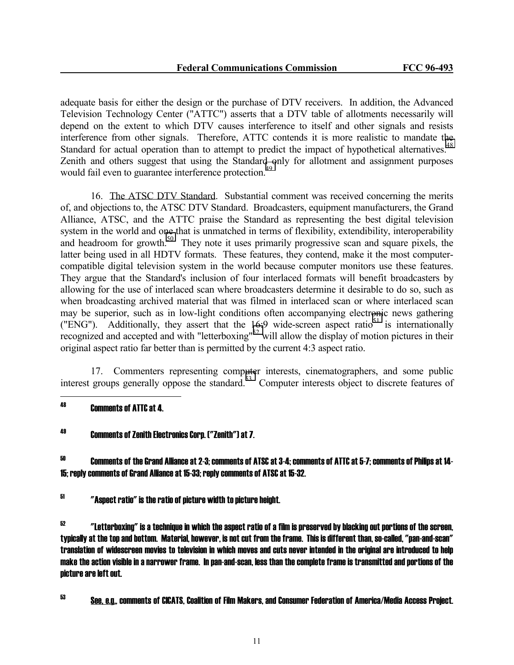adequate basis for either the design or the purchase of DTV receivers. In addition, the Advanced Television Technology Center ("ATTC") asserts that a DTV table of allotments necessarily will depend on the extent to which DTV causes interference to itself and other signals and resists interference from other signals. Therefore, ATTC contends it is more realistic to mandate the Standard for actual operation than to attempt to predict the impact of hypothetical alternatives.<sup>48</sup> Zenith and others suggest that using the Standard only for allotment and assignment purposes would fail even to guarantee interference protection.<sup>4</sup>

 16. The ATSC DTV Standard. Substantial comment was received concerning the merits of, and objections to, the ATSC DTV Standard. Broadcasters, equipment manufacturers, the Grand Alliance, ATSC, and the ATTC praise the Standard as representing the best digital television system in the world and one that is unmatched in terms of flexibility, extendibility, interoperability and headroom for growth.<sup>50</sup> They note it uses primarily progressive scan and square pixels, the latter being used in all HDTV formats. These features, they contend, make it the most computercompatible digital television system in the world because computer monitors use these features. They argue that the Standard's inclusion of four interlaced formats will benefit broadcasters by allowing for the use of interlaced scan where broadcasters determine it desirable to do so, such as when broadcasting archived material that was filmed in interlaced scan or where interlaced scan may be superior, such as in low-light conditions often accompanying electronic news gathering ("ENG"). Additionally, they assert that the 16:9 wide-screen aspect ratio<sup>51</sup> is internationally recognized and accepted and with "letterboxing"52 will allow the display of motion pictures in their original aspect ratio far better than is permitted by the current 4:3 aspect ratio.

 17. Commenters representing computer interests, cinematographers, and some public interest groups generally oppose the standard.<sup>53</sup> Computer interests object to discrete features of

#### 48 48 Comments of ATTC at 4.

# 49 Comments of Zenith Electronics Corp. ("Zenith") at 7.

 $^{50}$  Comments of the Grand Alliance at 2-3; comments of ATSC at 3-4; comments of ATTC at 5-7; comments of Philips at 14-15; reply comments of Grand Alliance at 15-33; reply comments of ATSC at 15-32.

51 "Aspect ratio" is the ratio of picture width to picture height.

52 "Letterboxing" is a technique in which the aspect ratio of a film is preserved by blacking out portions of the screen, typically at the top and bottom. Material, however, is not cut from the frame. This is different than, so-called, "pan-and-scan" translation of widescreen movies to television in which moves and cuts never intended in the original are introduced to help make the action visible in a narrower frame. In pan-and-scan, less than the complete frame is transmitted and portions of the picture are left out.

53 See, e.g., comments of CICATS, Coalition of Film Makers, and Consumer Federation of America/Media Access Project.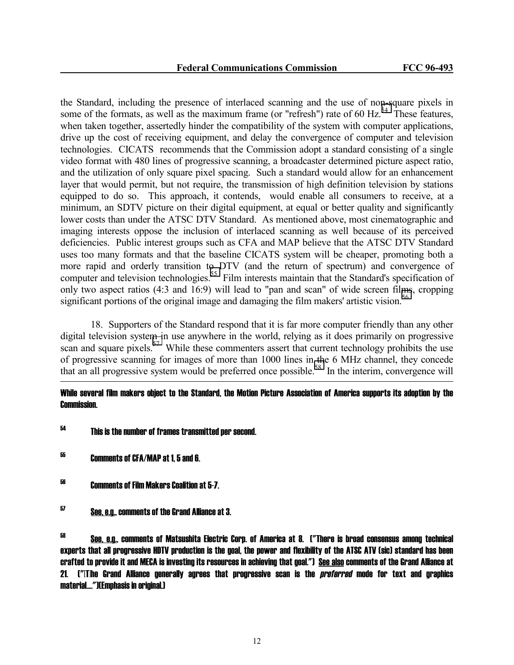the Standard, including the presence of interlaced scanning and the use of non-square pixels in some of the formats, as well as the maximum frame (or "refresh") rate of 60 Hz.<sup>54</sup> These features, when taken together, assertedly hinder the compatibility of the system with computer applications, drive up the cost of receiving equipment, and delay the convergence of computer and television technologies. CICATS recommends that the Commission adopt a standard consisting of a single video format with 480 lines of progressive scanning, a broadcaster determined picture aspect ratio, and the utilization of only square pixel spacing. Such a standard would allow for an enhancement layer that would permit, but not require, the transmission of high definition television by stations equipped to do so. This approach, it contends, would enable all consumers to receive, at a minimum, an SDTV picture on their digital equipment, at equal or better quality and significantly lower costs than under the ATSC DTV Standard. As mentioned above, most cinematographic and imaging interests oppose the inclusion of interlaced scanning as well because of its perceived deficiencies. Public interest groups such as CFA and MAP believe that the ATSC DTV Standard uses too many formats and that the baseline CICATS system will be cheaper, promoting both a more rapid and orderly transition to DTV (and the return of spectrum) and convergence of computer and television technologies.<sup>55</sup> Film interests maintain that the Standard's specification of only two aspect ratios (4:3 and 16:9) will lead to "pan and scan" of wide screen films, cropping significant portions of the original image and damaging the film makers' artistic vision.<sup>56</sup>

 18. Supporters of the Standard respond that it is far more computer friendly than any other digital television system in use anywhere in the world, relying as it does primarily on progressive scan and square pixels.<sup>57</sup> While these commenters assert that current technology prohibits the use of progressive scanning for images of more than 1000 lines in the 6 MHz channel, they concede that an all progressive system would be preferred once possible.58 In the interim, convergence will

# While several film makers object to the Standard, the Motion Picture Association of America supports its adoption by the Commission.

- 54 This is the number of frames transmitted per second.
- 55 Comments of CFA/MAP at 1, 5 and 6.

j

56 Comments of Film Makers Coalition at 5-7.

<sup>57</sup> See, e.g., comments of the Grand Alliance at 3.

<sup>58</sup> See, e.g., comments of Matsushita Electric Corp. of America at 8. ("There is broad consensus among technical experts that all progressive HDTV production is the goal, the power and flexibility of the ATSC ATV (sic) standard has been crafted to provide it and MECA is investing its resources in achieving that goal.") See also comments of the Grand Alliance at 21. ("IThe Grand Alliance generally agrees that progressive scan is the *preferred* mode for text and graphics material....")(Emphasis in original.)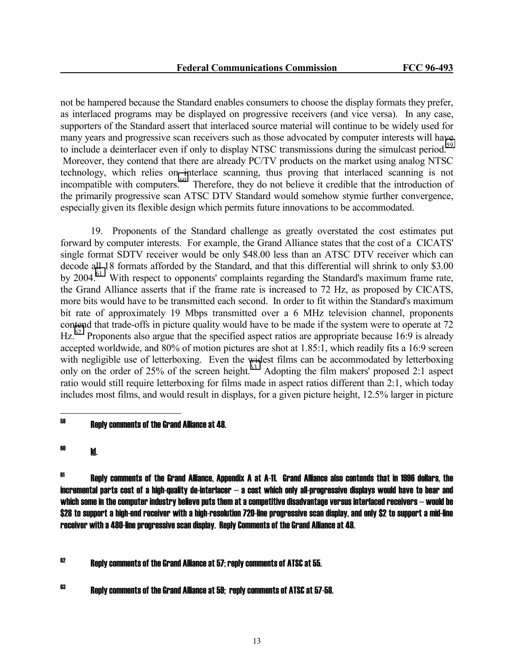not be hampered because the Standard enables consumers to choose the display formats they prefer, as interlaced programs may be displayed on progressive receivers (and vice versa). In any case, supporters of the Standard assert that interlaced source material will continue to be widely used for many years and progressive scan receivers such as those advocated by computer interests will have to include a deinterlacer even if only to display NTSC transmissions during the simulcast period.<sup>59</sup> Moreover, they contend that there are already PC/TV products on the market using analog NTSC technology, which relies on interlace scanning, thus proving that interlaced scanning is not incompatible with computers. $^{60}$  Therefore, they do not believe it credible that the introduction of the primarily progressive scan ATSC DTV Standard would somehow stymie further convergence, especially given its flexible design which permits future innovations to be accommodated.

 19. Proponents of the Standard challenge as greatly overstated the cost estimates put forward by computer interests. For example, the Grand Alliance states that the cost of a CICATS' single format SDTV receiver would be only \$48.00 less than an ATSC DTV receiver which can decode all 18 formats afforded by the Standard, and that this differential will shrink to only \$3.00 by  $2004<sup>61</sup>$  With respect to opponents' complaints regarding the Standard's maximum frame rate, the Grand Alliance asserts that if the frame rate is increased to 72 Hz, as proposed by CICATS, more bits would have to be transmitted each second. In order to fit within the Standard's maximum bit rate of approximately 19 Mbps transmitted over a 6 MHz television channel, proponents contend that trade-offs in picture quality would have to be made if the system were to operate at 72  $\text{Hz}^{62}$  Proponents also argue that the specified aspect ratios are appropriate because 16:9 is already accepted worldwide, and 80% of motion pictures are shot at 1.85:1, which readily fits a 16:9 screen with negligible use of letterboxing. Even the widest films can be accommodated by letterboxing only on the order of  $25\%$  of the screen height.<sup>63</sup> Adopting the film makers' proposed 2:1 aspect ratio would still require letterboxing for films made in aspect ratios different than 2:1, which today includes most films, and would result in displays, for a given picture height, 12.5% larger in picture

<sup>61</sup> Reply comments of the Grand Alliance, Appendix A at A-11. Grand Alliance also contends that in 1996 dollars, the incremental parts cost of a high-quality de-interlacer -- a cost which only all-progressive displays would have to bear and which some in the computer industry believe puts them at a competitive disadvantage versus interlaced receivers -- would be \$28 to support a high-end receiver with a high-resolution 720-line progressive scan display, and only \$2 to support a mid-line receiver with a 480-line progressive scan display. Reply Comments of the Grand Alliance at 48.

 $62$  Reply comments of the Grand Alliance at 57; reply comments of ATSC at 55.

 $63$  Reply comments of the Grand Alliance at 59; reply comments of ATSC at 57-58.

<sup>59</sup> 59 Reply comments of the Grand Alliance at 48.

<sup>60</sup> Id.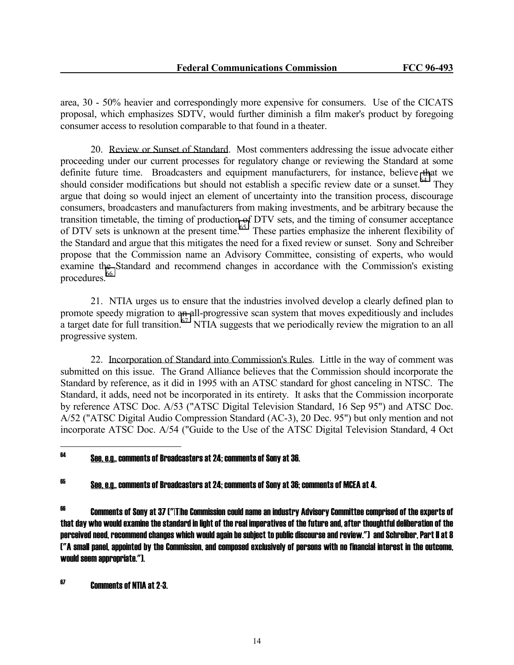area, 30 - 50% heavier and correspondingly more expensive for consumers. Use of the CICATS proposal, which emphasizes SDTV, would further diminish a film maker's product by foregoing consumer access to resolution comparable to that found in a theater.

 20. Review or Sunset of Standard. Most commenters addressing the issue advocate either proceeding under our current processes for regulatory change or reviewing the Standard at some definite future time. Broadcasters and equipment manufacturers, for instance, believe that we should consider modifications but should not establish a specific review date or a sunset.<sup>64</sup> They argue that doing so would inject an element of uncertainty into the transition process, discourage consumers, broadcasters and manufacturers from making investments, and be arbitrary because the transition timetable, the timing of production of DTV sets, and the timing of consumer acceptance of DTV sets is unknown at the present time.<sup>65</sup> These parties emphasize the inherent flexibility of the Standard and argue that this mitigates the need for a fixed review or sunset. Sony and Schreiber propose that the Commission name an Advisory Committee, consisting of experts, who would examine the Standard and recommend changes in accordance with the Commission's existing procedures.<sup>66</sup>

 21. NTIA urges us to ensure that the industries involved develop a clearly defined plan to promote speedy migration to an all-progressive scan system that moves expeditiously and includes a target date for full transition.<sup>67</sup> NTIA suggests that we periodically review the migration to an all progressive system.

 22. Incorporation of Standard into Commission's Rules. Little in the way of comment was submitted on this issue. The Grand Alliance believes that the Commission should incorporate the Standard by reference, as it did in 1995 with an ATSC standard for ghost canceling in NTSC. The Standard, it adds, need not be incorporated in its entirety. It asks that the Commission incorporate by reference ATSC Doc. A/53 ("ATSC Digital Television Standard, 16 Sep 95") and ATSC Doc. A/52 ("ATSC Digital Audio Compression Standard (AC-3), 20 Dec. 95") but only mention and not incorporate ATSC Doc. A/54 ("Guide to the Use of the ATSC Digital Television Standard, 4 Oct

#### 64 64 See, e.g., comments of Broadcasters at 24; comments of Sony at 36.

 $^{65}$  See, e.g., comments of Broadcasters at 24; comments of Sony at 36; comments of MCEA at 4.

66 Comments of Sony at 37 ("[T]he Commission could name an industry Advisory Committee comprised of the experts of that day who would examine the standard in light of the real imperatives of the future and, after thoughtful deliberation of the perceived need, recommend changes which would again be subject to public discourse and review.") and Schreiber, Part II at 8 ("A small panel, appointed by the Commission, and composed exclusively of persons with no financial interest in the outcome, would seem appropriate.").

67 Comments of NTIA at 2-3.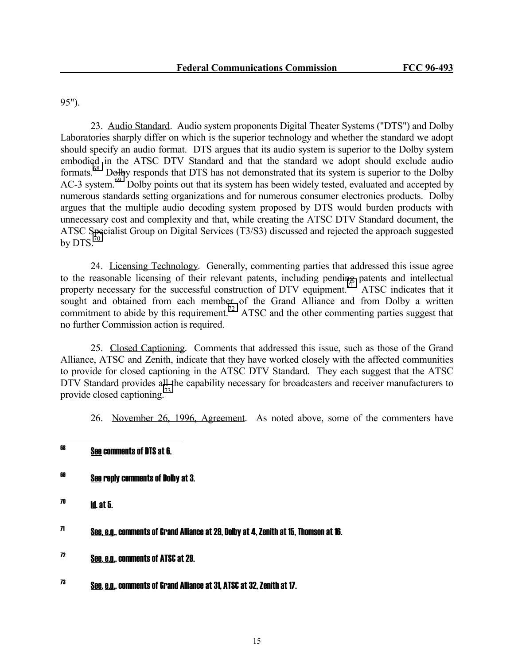95").

 23. Audio Standard. Audio system proponents Digital Theater Systems ("DTS") and Dolby Laboratories sharply differ on which is the superior technology and whether the standard we adopt should specify an audio format. DTS argues that its audio system is superior to the Dolby system embodied in the ATSC DTV Standard and that the standard we adopt should exclude audio formats.68 Dolby responds that DTS has not demonstrated that its system is superior to the Dolby AC-3 system.<sup>69</sup> Dolby points out that its system has been widely tested, evaluated and accepted by numerous standards setting organizations and for numerous consumer electronics products. Dolby argues that the multiple audio decoding system proposed by DTS would burden products with unnecessary cost and complexity and that, while creating the ATSC DTV Standard document, the ATSC Specialist Group on Digital Services (T3/S3) discussed and rejected the approach suggested by DTS. $^{70}$ 

 24. Licensing Technology. Generally, commenting parties that addressed this issue agree to the reasonable licensing of their relevant patents, including pending patents and intellectual property necessary for the successful construction of DTV equipment.<sup>71</sup> ATSC indicates that it sought and obtained from each member of the Grand Alliance and from Dolby a written commitment to abide by this requirement.<sup>72</sup> ATSC and the other commenting parties suggest that no further Commission action is required.

 25. Closed Captioning. Comments that addressed this issue, such as those of the Grand Alliance, ATSC and Zenith, indicate that they have worked closely with the affected communities to provide for closed captioning in the ATSC DTV Standard. They each suggest that the ATSC DTV Standard provides all the capability necessary for broadcasters and receiver manufacturers to provide closed captioning.73

26. November 26, 1996, Agreement. As noted above, some of the commenters have

- <sup>69</sup> <u>See</u> reply comments of Dolby at 3.
- $70$  **Id.** at 5.

 $71$  See, e.g., comments of Grand Alliance at 29, Dolby at 4, Zenith at 15, Thomson at 16,  $\overline{a}$ 

- 72 See, e.g., comments of ATSC at 29.
- 73 See, e.g., comments of Grand Alliance at 31, ATSC at 32, Zenith at 17.

<sup>68</sup> See comments of DTS at 6.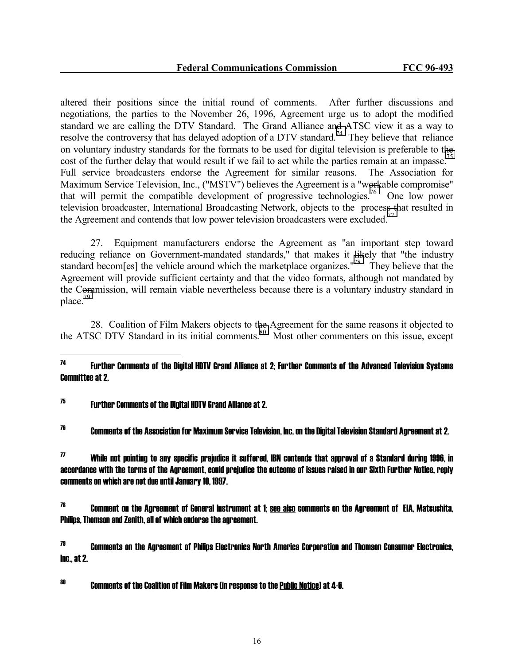altered their positions since the initial round of comments. After further discussions and negotiations, the parties to the November 26, 1996, Agreement urge us to adopt the modified standard we are calling the DTV Standard. The Grand Alliance and ATSC view it as a way to resolve the controversy that has delayed adoption of a DTV standard.<sup>74</sup> They believe that reliance on voluntary industry standards for the formats to be used for digital television is preferable to the cost of the further delay that would result if we fail to act while the parties remain at an impasse.<sup>75</sup> Full service broadcasters endorse the Agreement for similar reasons. The Association for Maximum Service Television, Inc., ("MSTV") believes the Agreement is a "workable compromise" that will permit the compatible development of progressive technologies.<sup>76</sup> One low power television broadcaster, International Broadcasting Network, objects to the process that resulted in the Agreement and contends that low power television broadcasters were excluded.<sup>77</sup>

 27. Equipment manufacturers endorse the Agreement as "an important step toward reducing reliance on Government-mandated standards," that makes it likely that "the industry standard becom[es] the vehicle around which the marketplace organizes."<sup>78</sup> They believe that the Agreement will provide sufficient certainty and that the video formats, although not mandated by the Commission, will remain viable nevertheless because there is a voluntary industry standard in place.79

 28. Coalition of Film Makers objects to the Agreement for the same reasons it objected to the ATSC DTV Standard in its initial comments.<sup>80</sup> Most other commenters on this issue, except

#### $\overline{\mathbf{u}}$ 74 Further Comments of the Digital HDTV Grand Alliance at 2; Further Comments of the Advanced Television Systems Committee at 2.

# $75$  Further Comments of the Digital HDTV Grand Alliance at 2.

 $^{76}$  Comments of the Association for Maximum Service Television, Inc. on the Digital Television Standard Agreement at 2.

 $77$  While not pointing to any specific prejudice it suffered. IBN contends that approval of a Standard during 1996, in accordance with the terms of the Agreement, could prejudice the outcome of issues raised in our Sixth Further Notice, reply comments on which are not due until January 10, 1997.

 $78$  Comment on the Agreement of General Instrument at 1; see also comments on the Agreement of EIA, Matsushita, Philips, Thomson and Zenith, all of which endorse the agreement.

 $79$  Comments on the Agreement of Philips Electronics North America Corporation and Thomson Consumer Electronics. Inc., at 2.

 $^{80}$   $\,$   $\,$   $\,$  Comments of the Coalition of Film Makers (in response to the Public Notice) at 4-6.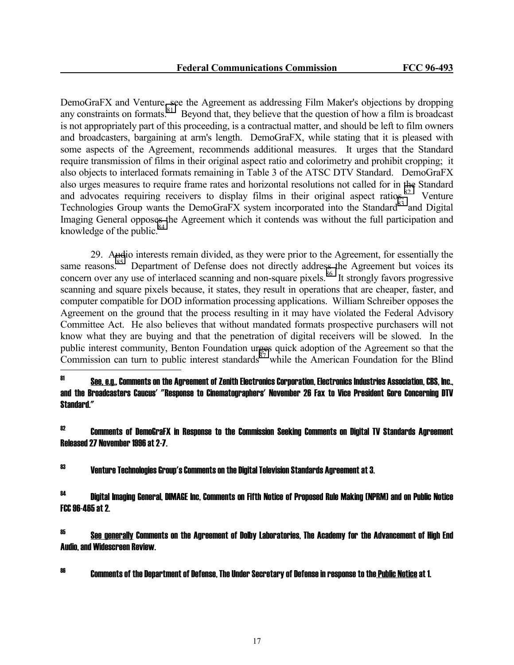DemoGraFX and Venture, see the Agreement as addressing Film Maker's objections by dropping any constraints on formats.  $81$  Beyond that, they believe that the question of how a film is broadcast is not appropriately part of this proceeding, is a contractual matter, and should be left to film owners and broadcasters, bargaining at arm's length. DemoGraFX, while stating that it is pleased with some aspects of the Agreement, recommends additional measures. It urges that the Standard require transmission of films in their original aspect ratio and colorimetry and prohibit cropping; it also objects to interlaced formats remaining in Table 3 of the ATSC DTV Standard. DemoGraFX also urges measures to require frame rates and horizontal resolutions not called for in the Standard and advocates requiring receivers to display films in their original aspect ratios.<sup>82</sup> Venture Technologies Group wants the DemoGraFX system incorporated into the Standard<sup>83</sup> and Digital Imaging General opposes the Agreement which it contends was without the full participation and knowledge of the public. $84$ 

 29. Audio interests remain divided, as they were prior to the Agreement, for essentially the same reasons.<sup>85</sup> Department of Defense does not directly address the Agreement but voices its concern over any use of interlaced scanning and non-square pixels.<sup>86</sup> It strongly favors progressive scanning and square pixels because, it states, they result in operations that are cheaper, faster, and computer compatible for DOD information processing applications. William Schreiber opposes the Agreement on the ground that the process resulting in it may have violated the Federal Advisory Committee Act. He also believes that without mandated formats prospective purchasers will not know what they are buying and that the penetration of digital receivers will be slowed. In the public interest community, Benton Foundation urges quick adoption of the Agreement so that the Commission can turn to public interest standards<sup>87</sup> while the American Foundation for the Blind

81 81 See, e.g., Comments on the Agreement of Zenith Electronics Corporation, Electronics Industries Association, CBS, Inc., and the Broadcasters Caucus' "Response to Cinematographers' November 26 Fax to Vice President Gore Concerning DTV Standard."

<sup>82</sup> Comments of DemoGraFX in Response to the Commission Seeking Comments on Digital TV Standards Agreement Released 27 November 1996 at 2-7.

 $^{\rm 83}$  Venture Technologies Group's Comments on the Digital Television Standards Agreement at 3.

 $^{84}$  Digital Imaging General, DIMAGE Inc. Comments on Fifth Notice of Proposed Rule Making (NPRM) and on Public Notice FCC 96-465 at 2.

 $^{85}$  See generally Comments on the Agreement of Dolby Laboratories, The Academy for the Advancement of High End Audio, and Widescreen Review.

 $^{86}$  Comments of the Department of Defense. The Under Secretary of Defense in response to the Public Notice at 1.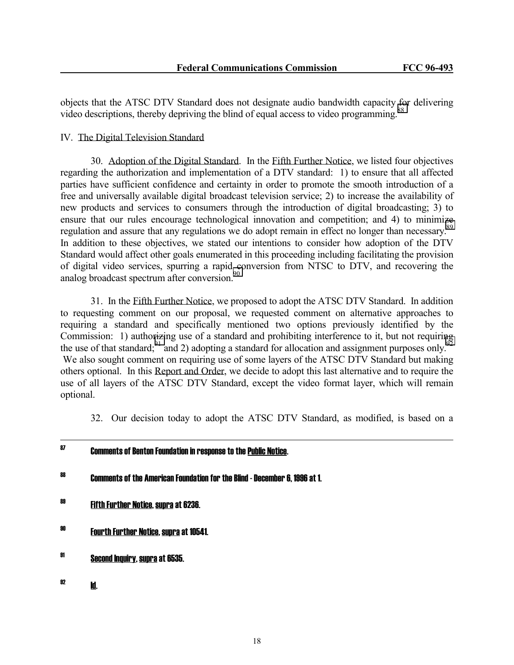objects that the ATSC DTV Standard does not designate audio bandwidth capacity for delivering video descriptions, thereby depriving the blind of equal access to video programming.<sup>88</sup>

### IV. The Digital Television Standard

 30. Adoption of the Digital Standard. In the Fifth Further Notice, we listed four objectives regarding the authorization and implementation of a DTV standard: 1) to ensure that all affected parties have sufficient confidence and certainty in order to promote the smooth introduction of a free and universally available digital broadcast television service; 2) to increase the availability of new products and services to consumers through the introduction of digital broadcasting; 3) to ensure that our rules encourage technological innovation and competition; and 4) to minimize regulation and assure that any regulations we do adopt remain in effect no longer than necessary.<sup>89</sup> In addition to these objectives, we stated our intentions to consider how adoption of the DTV Standard would affect other goals enumerated in this proceeding including facilitating the provision of digital video services, spurring a rapid conversion from NTSC to DTV, and recovering the analog broadcast spectrum after conversion.<sup>90</sup>

 31. In the Fifth Further Notice, we proposed to adopt the ATSC DTV Standard. In addition to requesting comment on our proposal, we requested comment on alternative approaches to requiring a standard and specifically mentioned two options previously identified by the Commission: 1) authorizing use of a standard and prohibiting interference to it, but not requiring the use of that standard;<sup>91</sup> and 2) adopting a standard for allocation and assignment purposes only.<sup>92</sup> We also sought comment on requiring use of some layers of the ATSC DTV Standard but making others optional. In this Report and Order, we decide to adopt this last alternative and to require the use of all layers of the ATSC DTV Standard, except the video format layer, which will remain optional.

32. Our decision today to adopt the ATSC DTV Standard, as modified, is based on a

<sup>87</sup> Comments of Benton Foundation in response to the <u>Public Notice</u>. 88 Comments of the American Foundation for the Blind - December 6, 1996 at 1. 89 Fifth Further Notice, supra at 6236. 90 Fourth Further Notice, supra at 10541. 91 Second Inquiry, supra at 6535.  $^{82}$  Id.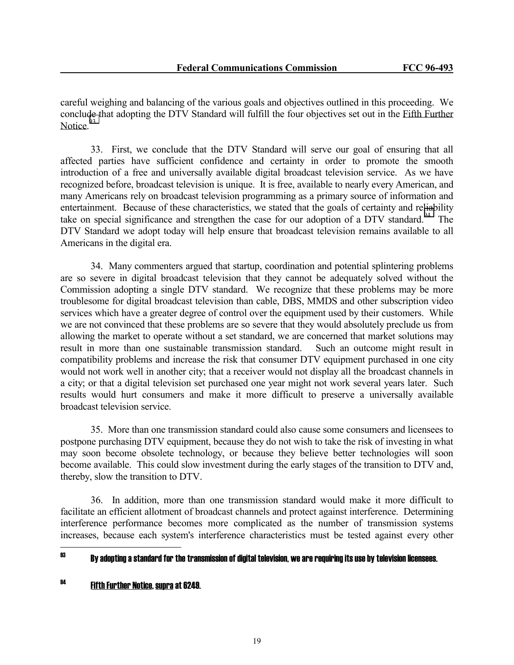careful weighing and balancing of the various goals and objectives outlined in this proceeding. We conclude that adopting the DTV Standard will fulfill the four objectives set out in the Fifth Further Notice.<sup>93</sup>

 33. First, we conclude that the DTV Standard will serve our goal of ensuring that all affected parties have sufficient confidence and certainty in order to promote the smooth introduction of a free and universally available digital broadcast television service. As we have recognized before, broadcast television is unique. It is free, available to nearly every American, and many Americans rely on broadcast television programming as a primary source of information and entertainment. Because of these characteristics, we stated that the goals of certainty and reliability take on special significance and strengthen the case for our adoption of a DTV standard.<sup>94</sup> The DTV Standard we adopt today will help ensure that broadcast television remains available to all Americans in the digital era.

 34. Many commenters argued that startup, coordination and potential splintering problems are so severe in digital broadcast television that they cannot be adequately solved without the Commission adopting a single DTV standard. We recognize that these problems may be more troublesome for digital broadcast television than cable, DBS, MMDS and other subscription video services which have a greater degree of control over the equipment used by their customers. While we are not convinced that these problems are so severe that they would absolutely preclude us from allowing the market to operate without a set standard, we are concerned that market solutions may result in more than one sustainable transmission standard. Such an outcome might result in compatibility problems and increase the risk that consumer DTV equipment purchased in one city would not work well in another city; that a receiver would not display all the broadcast channels in a city; or that a digital television set purchased one year might not work several years later. Such results would hurt consumers and make it more difficult to preserve a universally available broadcast television service.

 35. More than one transmission standard could also cause some consumers and licensees to postpone purchasing DTV equipment, because they do not wish to take the risk of investing in what may soon become obsolete technology, or because they believe better technologies will soon become available. This could slow investment during the early stages of the transition to DTV and, thereby, slow the transition to DTV.

 36. In addition, more than one transmission standard would make it more difficult to facilitate an efficient allotment of broadcast channels and protect against interference. Determining interference performance becomes more complicated as the number of transmission systems increases, because each system's interference characteristics must be tested against every other

#### 93 By adopting a standard for the transmission of digital television, we are requiring its use by television licensees.

# 94 Fifth Further Notice, supra at 6249.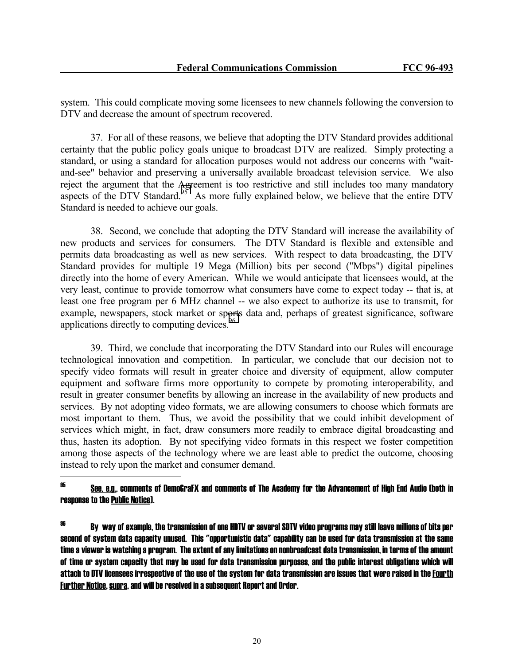system. This could complicate moving some licensees to new channels following the conversion to DTV and decrease the amount of spectrum recovered.

 37. For all of these reasons, we believe that adopting the DTV Standard provides additional certainty that the public policy goals unique to broadcast DTV are realized. Simply protecting a standard, or using a standard for allocation purposes would not address our concerns with "waitand-see" behavior and preserving a universally available broadcast television service. We also reject the argument that the Agreement is too restrictive and still includes too many mandatory aspects of the DTV Standard.<sup>95</sup> As more fully explained below, we believe that the entire DTV Standard is needed to achieve our goals.

 38. Second, we conclude that adopting the DTV Standard will increase the availability of new products and services for consumers. The DTV Standard is flexible and extensible and permits data broadcasting as well as new services. With respect to data broadcasting, the DTV Standard provides for multiple 19 Mega (Million) bits per second ("Mbps") digital pipelines directly into the home of every American. While we would anticipate that licensees would, at the very least, continue to provide tomorrow what consumers have come to expect today -- that is, at least one free program per 6 MHz channel -- we also expect to authorize its use to transmit, for example, newspapers, stock market or sports data and, perhaps of greatest significance, software applications directly to computing devices.<sup>96</sup>

 39. Third, we conclude that incorporating the DTV Standard into our Rules will encourage technological innovation and competition. In particular, we conclude that our decision not to specify video formats will result in greater choice and diversity of equipment, allow computer equipment and software firms more opportunity to compete by promoting interoperability, and result in greater consumer benefits by allowing an increase in the availability of new products and services. By not adopting video formats, we are allowing consumers to choose which formats are most important to them. Thus, we avoid the possibility that we could inhibit development of services which might, in fact, draw consumers more readily to embrace digital broadcasting and thus, hasten its adoption. By not specifying video formats in this respect we foster competition among those aspects of the technology where we are least able to predict the outcome, choosing instead to rely upon the market and consumer demand.

<sup>95</sup> See, e.g., comments of DemoGraFX and comments of The Academy for the Advancement of High End Audio (both in response to the Public Notice).

 $^\mathrm{96}$  By way of example, the transmission of one HDTV or several SDTV video programs may still leave millions of bits per second of system data capacity unused. This "opportunistic data" capability can be used for data transmission at the same time a viewer is watching a program. The extent of any limitations on nonbroadcast data transmission, in terms of the amount of time or system capacity that may be used for data transmission purposes, and the public interest obligations which will attach to DTV licensees irrespective of the use of the system for data transmission are issues that were raised in the Fourth Further Notice, supra, and will be resolved in a subsequent Report and Order.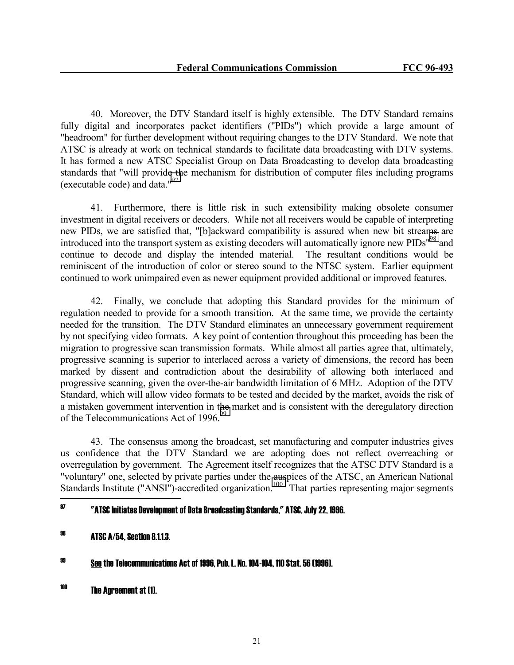40. Moreover, the DTV Standard itself is highly extensible. The DTV Standard remains fully digital and incorporates packet identifiers ("PIDs") which provide a large amount of "headroom" for further development without requiring changes to the DTV Standard. We note that ATSC is already at work on technical standards to facilitate data broadcasting with DTV systems. It has formed a new ATSC Specialist Group on Data Broadcasting to develop data broadcasting standards that "will provide the mechanism for distribution of computer files including programs (executable code) and data."97

 41. Furthermore, there is little risk in such extensibility making obsolete consumer investment in digital receivers or decoders. While not all receivers would be capable of interpreting new PIDs, we are satisfied that, "[b]ackward compatibility is assured when new bit streams are introduced into the transport system as existing decoders will automatically ignore new PIDs"98 and continue to decode and display the intended material. The resultant conditions would be reminiscent of the introduction of color or stereo sound to the NTSC system. Earlier equipment continued to work unimpaired even as newer equipment provided additional or improved features.

 42. Finally, we conclude that adopting this Standard provides for the minimum of regulation needed to provide for a smooth transition. At the same time, we provide the certainty needed for the transition. The DTV Standard eliminates an unnecessary government requirement by not specifying video formats. A key point of contention throughout this proceeding has been the migration to progressive scan transmission formats. While almost all parties agree that, ultimately, progressive scanning is superior to interlaced across a variety of dimensions, the record has been marked by dissent and contradiction about the desirability of allowing both interlaced and progressive scanning, given the over-the-air bandwidth limitation of 6 MHz. Adoption of the DTV Standard, which will allow video formats to be tested and decided by the market, avoids the risk of a mistaken government intervention in the market and is consistent with the deregulatory direction of the Telecommunications Act of 1996.<sup>99</sup>

 43. The consensus among the broadcast, set manufacturing and computer industries gives us confidence that the DTV Standard we are adopting does not reflect overreaching or overregulation by government. The Agreement itself recognizes that the ATSC DTV Standard is a "voluntary" one, selected by private parties under the auspices of the ATSC, an American National Standards Institute ("ANSI")-accredited organization.<sup>100</sup> That parties representing major segments

#### 97 97 "ATSC Initiates Development of Data Broadcasting Standards," ATSC, July 22, 1996.

# 98 ATSC A/54, Section 8.1.1.3.

99 See the Telecommunications Act of 1996, Pub. L. No. 104-104, 110 Stat. 56 (1996).

<sup>100</sup> The Agreement at (1).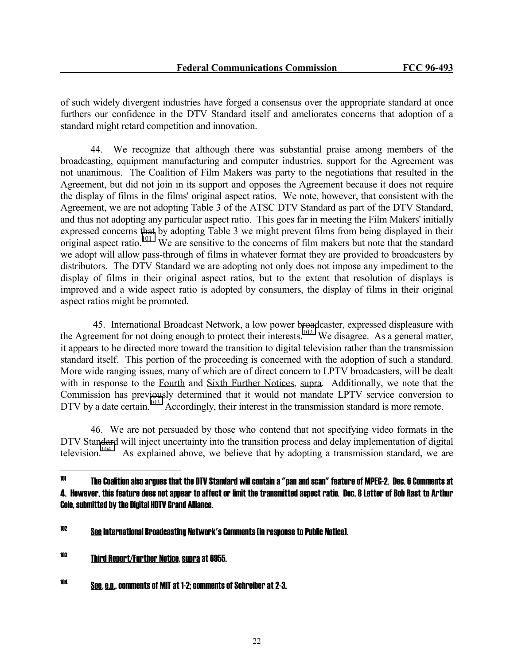of such widely divergent industries have forged a consensus over the appropriate standard at once furthers our confidence in the DTV Standard itself and ameliorates concerns that adoption of a standard might retard competition and innovation.

 44. We recognize that although there was substantial praise among members of the broadcasting, equipment manufacturing and computer industries, support for the Agreement was not unanimous. The Coalition of Film Makers was party to the negotiations that resulted in the Agreement, but did not join in its support and opposes the Agreement because it does not require the display of films in the films' original aspect ratios. We note, however, that consistent with the Agreement, we are not adopting Table 3 of the ATSC DTV Standard as part of the DTV Standard, and thus not adopting any particular aspect ratio. This goes far in meeting the Film Makers' initially expressed concerns that by adopting Table 3 we might prevent films from being displayed in their original aspect ratio.<sup>101</sup> We are sensitive to the concerns of film makers but note that the standard we adopt will allow pass-through of films in whatever format they are provided to broadcasters by distributors. The DTV Standard we are adopting not only does not impose any impediment to the display of films in their original aspect ratios, but to the extent that resolution of displays is improved and a wide aspect ratio is adopted by consumers, the display of films in their original aspect ratios might be promoted.

 45. International Broadcast Network, a low power broadcaster, expressed displeasure with the Agreement for not doing enough to protect their interests.<sup>102</sup> We disagree. As a general matter, it appears to be directed more toward the transition to digital television rather than the transmission standard itself. This portion of the proceeding is concerned with the adoption of such a standard. More wide ranging issues, many of which are of direct concern to LPTV broadcasters, will be dealt with in response to the Fourth and Sixth Further Notices, supra. Additionally, we note that the Commission has previously determined that it would not mandate LPTV service conversion to DTV by a date certain.<sup>103</sup> Accordingly, their interest in the transmission standard is more remote.

 46. We are not persuaded by those who contend that not specifying video formats in the DTV Standard will inject uncertainty into the transition process and delay implementation of digital television.<sup>104</sup> As explained above, we believe that by adopting a transmission standard, we are As explained above, we believe that by adopting a transmission standard, we are

<sup>101</sup> 101 The Coalition also argues that the DTV Standard will contain a "pan and scan" feature of MPEG-2. Dec. 6 Comments at 4. However, this feature does not appear to affect or limit the transmitted aspect ratio. Dec. 8 Letter of Bob Rast to Arthur Cole, submitted by the Digital HDTV Grand Alliance.

<sup>102</sup> See International Broadcasting Network's Comments (in response to Public Notice).

<sup>103</sup> Third Report/Further Notice, supra at 6955.

<sup>104</sup> See, e.g., comments of MIT at 1-2; comments of Schreiber at 2-3.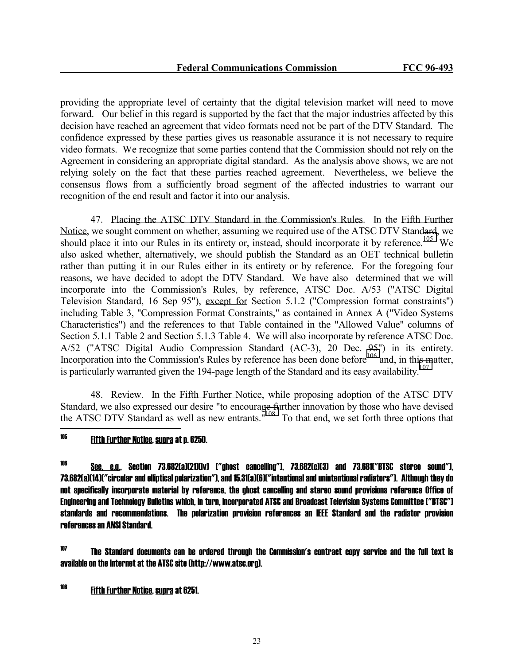providing the appropriate level of certainty that the digital television market will need to move forward. Our belief in this regard is supported by the fact that the major industries affected by this decision have reached an agreement that video formats need not be part of the DTV Standard. The confidence expressed by these parties gives us reasonable assurance it is not necessary to require video formats. We recognize that some parties contend that the Commission should not rely on the Agreement in considering an appropriate digital standard. As the analysis above shows, we are not relying solely on the fact that these parties reached agreement. Nevertheless, we believe the consensus flows from a sufficiently broad segment of the affected industries to warrant our recognition of the end result and factor it into our analysis.

 47. Placing the ATSC DTV Standard in the Commission's Rules. In the Fifth Further Notice, we sought comment on whether, assuming we required use of the ATSC DTV Standard, we should place it into our Rules in its entirety or, instead, should incorporate it by reference.<sup>105</sup> We also asked whether, alternatively, we should publish the Standard as an OET technical bulletin rather than putting it in our Rules either in its entirety or by reference. For the foregoing four reasons, we have decided to adopt the DTV Standard. We have also determined that we will incorporate into the Commission's Rules, by reference, ATSC Doc. A/53 ("ATSC Digital Television Standard, 16 Sep 95"), except for Section 5.1.2 ("Compression format constraints") including Table 3, "Compression Format Constraints," as contained in Annex A ("Video Systems Characteristics") and the references to that Table contained in the "Allowed Value" columns of Section 5.1.1 Table 2 and Section 5.1.3 Table 4. We will also incorporate by reference ATSC Doc. A/52 ("ATSC Digital Audio Compression Standard (AC-3), 20 Dec. 95") in its entirety. Incorporation into the Commission's Rules by reference has been done before<sup>106</sup> and, in this matter, is particularly warranted given the 194-page length of the Standard and its easy availability.<sup>107</sup>

 48. Review. In the Fifth Further Notice, while proposing adoption of the ATSC DTV Standard, we also expressed our desire "to encourage further innovation by those who have devised the ATSC DTV Standard as well as new entrants."108 To that end, we set forth three options that

# 105 Fifth Further Notice, supra at p. 6250.

j

106 See, e.g., Section 73.682(a)(21)(iv) ("ghost cancelling"), 73.682(c)(3) and 73.681("BTSC stereo sound"), 73.682(a)(14)("circular and elliptical polarization"), and 15.31(a)(6)("intentional and unintentional radiators"). Although they do not specifically incorporate material by reference, the ghost cancelling and stereo sound provisions reference Office of Engineering and Technology Bulletins which, in turn, incorporated ATSC and Broadcast Television Systems Committee ("BTSC") standards and recommendations. The polarization provision references an IEEE Standard and the radiator provision references an ANSI Standard.

 $107$  The Standard documents can be ordered through the Commission's contract copy service and the full text is available on the Internet at the ATSC site (http://www.atsc.org).

108 Fifth Further Notice, supra at 6251.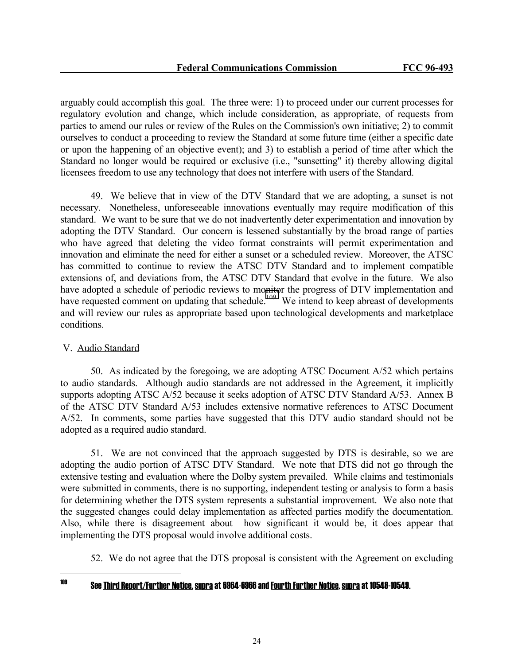arguably could accomplish this goal. The three were: 1) to proceed under our current processes for regulatory evolution and change, which include consideration, as appropriate, of requests from parties to amend our rules or review of the Rules on the Commission's own initiative; 2) to commit ourselves to conduct a proceeding to review the Standard at some future time (either a specific date or upon the happening of an objective event); and 3) to establish a period of time after which the Standard no longer would be required or exclusive (i.e., "sunsetting" it) thereby allowing digital licensees freedom to use any technology that does not interfere with users of the Standard.

 49. We believe that in view of the DTV Standard that we are adopting, a sunset is not necessary. Nonetheless, unforeseeable innovations eventually may require modification of this standard. We want to be sure that we do not inadvertently deter experimentation and innovation by adopting the DTV Standard. Our concern is lessened substantially by the broad range of parties who have agreed that deleting the video format constraints will permit experimentation and innovation and eliminate the need for either a sunset or a scheduled review. Moreover, the ATSC has committed to continue to review the ATSC DTV Standard and to implement compatible extensions of, and deviations from, the ATSC DTV Standard that evolve in the future. We also have adopted a schedule of periodic reviews to monitor the progress of DTV implementation and have requested comment on updating that schedule.<sup>109</sup> We intend to keep abreast of developments and will review our rules as appropriate based upon technological developments and marketplace conditions.

### V. Audio Standard

 50. As indicated by the foregoing, we are adopting ATSC Document A/52 which pertains to audio standards. Although audio standards are not addressed in the Agreement, it implicitly supports adopting ATSC A/52 because it seeks adoption of ATSC DTV Standard A/53. Annex B of the ATSC DTV Standard A/53 includes extensive normative references to ATSC Document A/52. In comments, some parties have suggested that this DTV audio standard should not be adopted as a required audio standard.

 51. We are not convinced that the approach suggested by DTS is desirable, so we are adopting the audio portion of ATSC DTV Standard. We note that DTS did not go through the extensive testing and evaluation where the Dolby system prevailed. While claims and testimonials were submitted in comments, there is no supporting, independent testing or analysis to form a basis for determining whether the DTS system represents a substantial improvement. We also note that the suggested changes could delay implementation as affected parties modify the documentation. Also, while there is disagreement about how significant it would be, it does appear that implementing the DTS proposal would involve additional costs.

52. We do not agree that the DTS proposal is consistent with the Agreement on excluding

109

# 109 See Third Report/Further Notice, supra at 6964-6966 and Fourth Further Notice, supra at 10548-10549.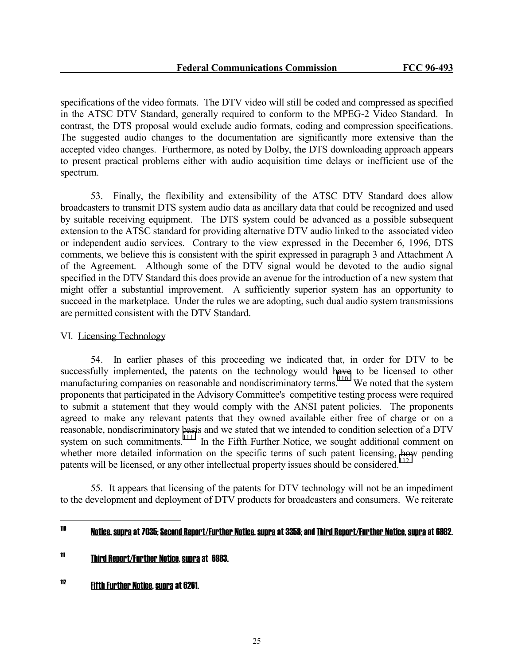specifications of the video formats. The DTV video will still be coded and compressed as specified in the ATSC DTV Standard, generally required to conform to the MPEG-2 Video Standard. In contrast, the DTS proposal would exclude audio formats, coding and compression specifications. The suggested audio changes to the documentation are significantly more extensive than the accepted video changes. Furthermore, as noted by Dolby, the DTS downloading approach appears to present practical problems either with audio acquisition time delays or inefficient use of the spectrum.

 53. Finally, the flexibility and extensibility of the ATSC DTV Standard does allow broadcasters to transmit DTS system audio data as ancillary data that could be recognized and used by suitable receiving equipment. The DTS system could be advanced as a possible subsequent extension to the ATSC standard for providing alternative DTV audio linked to the associated video or independent audio services. Contrary to the view expressed in the December 6, 1996, DTS comments, we believe this is consistent with the spirit expressed in paragraph 3 and Attachment A of the Agreement. Although some of the DTV signal would be devoted to the audio signal specified in the DTV Standard this does provide an avenue for the introduction of a new system that might offer a substantial improvement. A sufficiently superior system has an opportunity to succeed in the marketplace. Under the rules we are adopting, such dual audio system transmissions are permitted consistent with the DTV Standard.

### VI. Licensing Technology

 54. In earlier phases of this proceeding we indicated that, in order for DTV to be successfully implemented, the patents on the technology would have to be licensed to other manufacturing companies on reasonable and nondiscriminatory terms.<sup>110</sup> We noted that the system proponents that participated in the Advisory Committee's competitive testing process were required to submit a statement that they would comply with the ANSI patent policies. The proponents agreed to make any relevant patents that they owned available either free of charge or on a reasonable, nondiscriminatory basis and we stated that we intended to condition selection of a DTV system on such commitments.<sup>111</sup> In the Fifth Further Notice, we sought additional comment on whether more detailed information on the specific terms of such patent licensing, how pending patents will be licensed, or any other intellectual property issues should be considered.<sup>112</sup>

 55. It appears that licensing of the patents for DTV technology will not be an impediment to the development and deployment of DTV products for broadcasters and consumers. We reiterate

<sup>110</sup> 110 Notice, supra at 7035; Second Report/Further Notice, supra at 3358; and Third Report/Further Notice, supra at 6982.

<sup>111</sup> Third Report/Further Notice, supra at 6983.

<sup>112</sup> Fifth Further Notice, supra at 6261.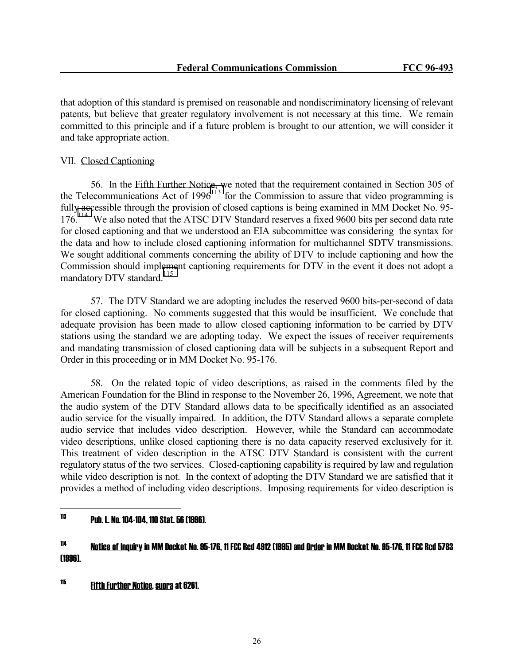that adoption of this standard is premised on reasonable and nondiscriminatory licensing of relevant patents, but believe that greater regulatory involvement is not necessary at this time. We remain committed to this principle and if a future problem is brought to our attention, we will consider it and take appropriate action.

# VII. Closed Captioning

 56. In the Fifth Further Notice, we noted that the requirement contained in Section 305 of the Telecommunications Act of  $1996<sup>113</sup>$  for the Commission to assure that video programming is fully accessible through the provision of closed captions is being examined in MM Docket No. 95- 176.114 We also noted that the ATSC DTV Standard reserves a fixed 9600 bits per second data rate for closed captioning and that we understood an EIA subcommittee was considering the syntax for the data and how to include closed captioning information for multichannel SDTV transmissions. We sought additional comments concerning the ability of DTV to include captioning and how the Commission should implement captioning requirements for DTV in the event it does not adopt a mandatory DTV standard.<sup>115</sup>

 57. The DTV Standard we are adopting includes the reserved 9600 bits-per-second of data for closed captioning. No comments suggested that this would be insufficient. We conclude that adequate provision has been made to allow closed captioning information to be carried by DTV stations using the standard we are adopting today. We expect the issues of receiver requirements and mandating transmission of closed captioning data will be subjects in a subsequent Report and Order in this proceeding or in MM Docket No. 95-176.

 58. On the related topic of video descriptions, as raised in the comments filed by the American Foundation for the Blind in response to the November 26, 1996, Agreement, we note that the audio system of the DTV Standard allows data to be specifically identified as an associated audio service for the visually impaired. In addition, the DTV Standard allows a separate complete audio service that includes video description. However, while the Standard can accommodate video descriptions, unlike closed captioning there is no data capacity reserved exclusively for it. This treatment of video description in the ATSC DTV Standard is consistent with the current regulatory status of the two services. Closed-captioning capability is required by law and regulation while video description is not. In the context of adopting the DTV Standard we are satisfied that it provides a method of including video descriptions. Imposing requirements for video description is

#### 113 113 Pub. L. No. 104-104, 110 Stat. 56 (1996).

115 Fifth Further Notice, supra at 6261.

<sup>114</sup> Notice of Inquiry in MM Docket No. 95-176, 11 FCC Rcd 4912 (1995) and Order in MM Docket No. 95-176, 11 FCC Rcd 5783 (1996).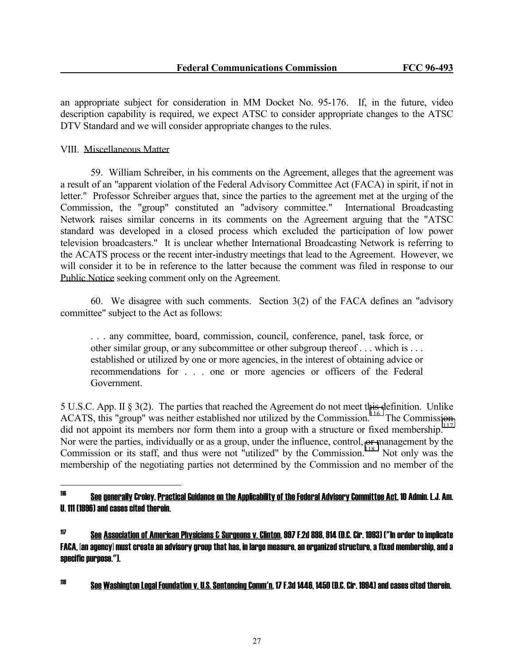an appropriate subject for consideration in MM Docket No. 95-176. If, in the future, video description capability is required, we expect ATSC to consider appropriate changes to the ATSC DTV Standard and we will consider appropriate changes to the rules.

## VIII. Miscellaneous Matter

 59. William Schreiber, in his comments on the Agreement, alleges that the agreement was a result of an "apparent violation of the Federal Advisory Committee Act (FACA) in spirit, if not in letter." Professor Schreiber argues that, since the parties to the agreement met at the urging of the Commission, the "group" constituted an "advisory committee." International Broadcasting Network raises similar concerns in its comments on the Agreement arguing that the "ATSC standard was developed in a closed process which excluded the participation of low power television broadcasters." It is unclear whether International Broadcasting Network is referring to the ACATS process or the recent inter-industry meetings that lead to the Agreement. However, we will consider it to be in reference to the latter because the comment was filed in response to our Public Notice seeking comment only on the Agreement.

 60. We disagree with such comments. Section 3(2) of the FACA defines an "advisory committee" subject to the Act as follows:

 . . . any committee, board, commission, council, conference, panel, task force, or other similar group, or any subcommittee or other subgroup thereof . . . which is . . . established or utilized by one or more agencies, in the interest of obtaining advice or recommendations for . . . one or more agencies or officers of the Federal Government.

5 U.S.C. App. II § 3(2). The parties that reached the Agreement do not meet this definition. Unlike ACATS, this "group" was neither established nor utilized by the Commission.<sup>116</sup> The Commission did not appoint its members nor form them into a group with a structure or fixed membership.<sup>117</sup> Nor were the parties, individually or as a group, under the influence, control, or management by the Commission or its staff, and thus were not "utilized" by the Commission.<sup>118</sup> Not only was the membership of the negotiating parties not determined by the Commission and no member of the

118 See Washington Legal Foundation v. U.S. Sentencing Comm'n, 17 F.3d 1446, 1450 (D.C. Cir. 1994) and cases cited therein.

<sup>116</sup> See generally Croley, Practical Guidance on the Applicability of the Federal Advisory Committee Act, 10 Admin. L.J. Am. U. 111 (1996) and cases cited therein.

<sup>117</sup> See Association of American Physicians & Surgeons v. Clinton, 997 F.2d 898, 914 (D.C. Cir. 1993) ("In order to implicate FACA, [an agency] must create an advisory group that has, in large measure, an organized structure, a fixed membership, and a specific purpose.").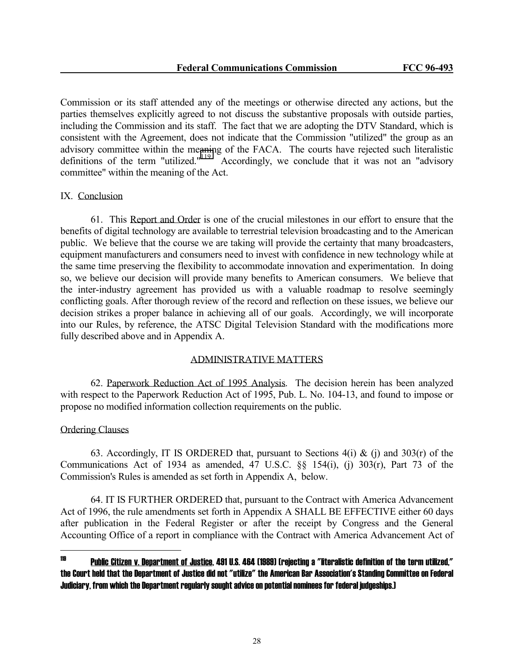Commission or its staff attended any of the meetings or otherwise directed any actions, but the parties themselves explicitly agreed to not discuss the substantive proposals with outside parties, including the Commission and its staff. The fact that we are adopting the DTV Standard, which is consistent with the Agreement, does not indicate that the Commission "utilized" the group as an advisory committee within the meaning of the FACA. The courts have rejected such literalistic definitions of the term "utilized."<sup>119</sup> Accordingly, we conclude that it was not an "advisory" committee" within the meaning of the Act.

### IX. Conclusion

 61. This Report and Order is one of the crucial milestones in our effort to ensure that the benefits of digital technology are available to terrestrial television broadcasting and to the American public. We believe that the course we are taking will provide the certainty that many broadcasters, equipment manufacturers and consumers need to invest with confidence in new technology while at the same time preserving the flexibility to accommodate innovation and experimentation. In doing so, we believe our decision will provide many benefits to American consumers. We believe that the inter-industry agreement has provided us with a valuable roadmap to resolve seemingly conflicting goals. After thorough review of the record and reflection on these issues, we believe our decision strikes a proper balance in achieving all of our goals. Accordingly, we will incorporate into our Rules, by reference, the ATSC Digital Television Standard with the modifications more fully described above and in Appendix A.

### ADMINISTRATIVE MATTERS

 62. Paperwork Reduction Act of 1995 Analysis. The decision herein has been analyzed with respect to the Paperwork Reduction Act of 1995, Pub. L. No. 104-13, and found to impose or propose no modified information collection requirements on the public.

# Ordering Clauses

63. Accordingly, IT IS ORDERED that, pursuant to Sections  $4(i) \& (i)$  and  $303(r)$  of the Communications Act of 1934 as amended, 47 U.S.C. §§ 154(i), (j) 303(r), Part 73 of the Commission's Rules is amended as set forth in Appendix A, below.

 64. IT IS FURTHER ORDERED that, pursuant to the Contract with America Advancement Act of 1996, the rule amendments set forth in Appendix A SHALL BE EFFECTIVE either 60 days after publication in the Federal Register or after the receipt by Congress and the General Accounting Office of a report in compliance with the Contract with America Advancement Act of

<sup>119</sup> Public Citizen v. Department of Justice, 491 U.S. 464 (1989) (rejecting a "literalistic definition of the term utilized," the Court held that the Department of Justice did not "utilize" the American Bar Association's Standing Committee on Federal Judiciary, from which the Department regularly sought advice on potential nominees for federal judgeships.)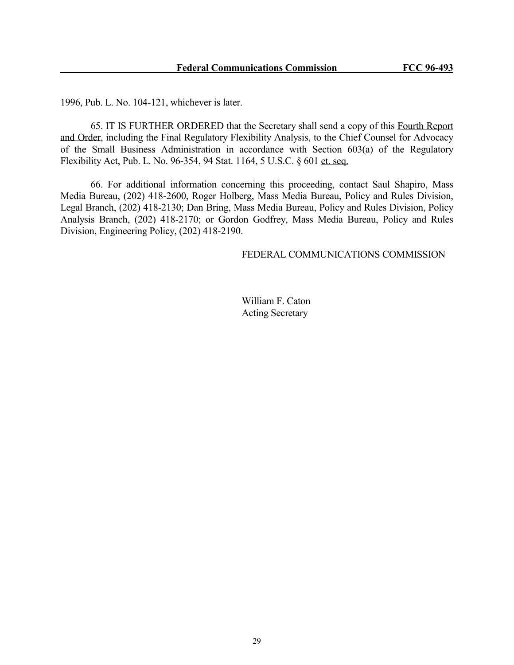1996, Pub. L. No. 104-121, whichever is later.

 65. IT IS FURTHER ORDERED that the Secretary shall send a copy of this Fourth Report and Order, including the Final Regulatory Flexibility Analysis, to the Chief Counsel for Advocacy of the Small Business Administration in accordance with Section 603(a) of the Regulatory Flexibility Act, Pub. L. No. 96-354, 94 Stat. 1164, 5 U.S.C. § 601 et. seq.

 66. For additional information concerning this proceeding, contact Saul Shapiro, Mass Media Bureau, (202) 418-2600, Roger Holberg, Mass Media Bureau, Policy and Rules Division, Legal Branch, (202) 418-2130; Dan Bring, Mass Media Bureau, Policy and Rules Division, Policy Analysis Branch, (202) 418-2170; or Gordon Godfrey, Mass Media Bureau, Policy and Rules Division, Engineering Policy, (202) 418-2190.

## FEDERAL COMMUNICATIONS COMMISSION

 William F. Caton Acting Secretary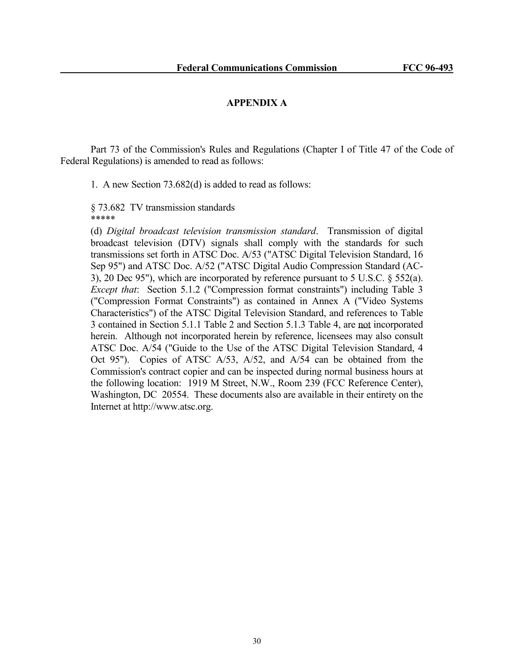#### **APPENDIX A**

 Part 73 of the Commission's Rules and Regulations (Chapter I of Title 47 of the Code of Federal Regulations) is amended to read as follows:

1. A new Section 73.682(d) is added to read as follows:

 § 73.682 TV transmission standards \*\*\*\*\*

 (d) *Digital broadcast television transmission standard*. Transmission of digital broadcast television (DTV) signals shall comply with the standards for such transmissions set forth in ATSC Doc. A/53 ("ATSC Digital Television Standard, 16 Sep 95") and ATSC Doc. A/52 ("ATSC Digital Audio Compression Standard (AC-3), 20 Dec 95"), which are incorporated by reference pursuant to 5 U.S.C. § 552(a). *Except that*: Section 5.1.2 ("Compression format constraints") including Table 3 ("Compression Format Constraints") as contained in Annex A ("Video Systems Characteristics") of the ATSC Digital Television Standard, and references to Table 3 contained in Section 5.1.1 Table 2 and Section 5.1.3 Table 4, are not incorporated herein. Although not incorporated herein by reference, licensees may also consult ATSC Doc. A/54 ("Guide to the Use of the ATSC Digital Television Standard, 4 Oct 95"). Copies of ATSC A/53, A/52, and A/54 can be obtained from the Commission's contract copier and can be inspected during normal business hours at the following location: 1919 M Street, N.W., Room 239 (FCC Reference Center), Washington, DC 20554. These documents also are available in their entirety on the Internet at http://www.atsc.org.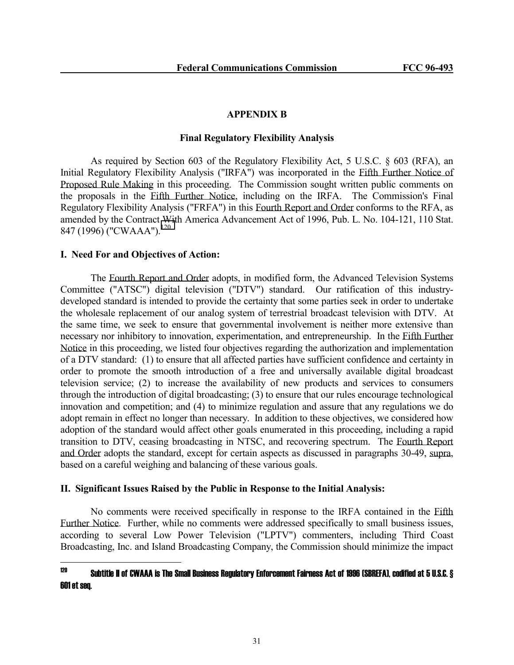## **APPENDIX B**

### **Final Regulatory Flexibility Analysis**

 As required by Section 603 of the Regulatory Flexibility Act, 5 U.S.C. § 603 (RFA), an Initial Regulatory Flexibility Analysis ("IRFA") was incorporated in the Fifth Further Notice of Proposed Rule Making in this proceeding. The Commission sought written public comments on the proposals in the Fifth Further Notice, including on the IRFA. The Commission's Final Regulatory Flexibility Analysis ("FRFA") in this Fourth Report and Order conforms to the RFA, as amended by the Contract With America Advancement Act of 1996, Pub. L. No. 104-121, 110 Stat. 847 (1996) ("CWAAA").<sup>120</sup>

### **I. Need For and Objectives of Action:**

 The Fourth Report and Order adopts, in modified form, the Advanced Television Systems Committee ("ATSC") digital television ("DTV") standard. Our ratification of this industrydeveloped standard is intended to provide the certainty that some parties seek in order to undertake the wholesale replacement of our analog system of terrestrial broadcast television with DTV. At the same time, we seek to ensure that governmental involvement is neither more extensive than necessary nor inhibitory to innovation, experimentation, and entrepreneurship. In the Fifth Further Notice in this proceeding, we listed four objectives regarding the authorization and implementation of a DTV standard: (1) to ensure that all affected parties have sufficient confidence and certainty in order to promote the smooth introduction of a free and universally available digital broadcast television service; (2) to increase the availability of new products and services to consumers through the introduction of digital broadcasting; (3) to ensure that our rules encourage technological innovation and competition; and (4) to minimize regulation and assure that any regulations we do adopt remain in effect no longer than necessary. In addition to these objectives, we considered how adoption of the standard would affect other goals enumerated in this proceeding, including a rapid transition to DTV, ceasing broadcasting in NTSC, and recovering spectrum. The Fourth Report and Order adopts the standard, except for certain aspects as discussed in paragraphs 30-49, supra, based on a careful weighing and balancing of these various goals.

### **II. Significant Issues Raised by the Public in Response to the Initial Analysis:**

 No comments were received specifically in response to the IRFA contained in the Fifth Further Notice. Further, while no comments were addressed specifically to small business issues, according to several Low Power Television ("LPTV") commenters, including Third Coast Broadcasting, Inc. and Island Broadcasting Company, the Commission should minimize the impact

#### $120$ 120 Subtitle II of CWAAA is The Small Business Regulatory Enforcement Fairness Act of 1996 (SBREFA), codified at 5 U.S.C. § 601 et seq.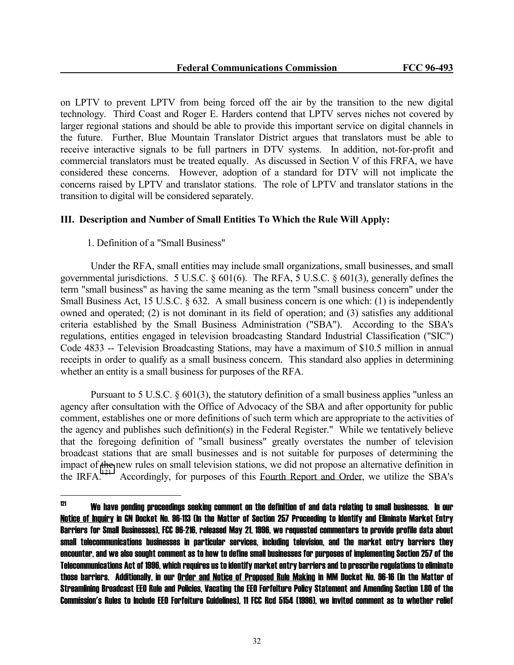on LPTV to prevent LPTV from being forced off the air by the transition to the new digital technology. Third Coast and Roger E. Harders contend that LPTV serves niches not covered by larger regional stations and should be able to provide this important service on digital channels in the future. Further, Blue Mountain Translator District argues that translators must be able to receive interactive signals to be full partners in DTV systems. In addition, not-for-profit and commercial translators must be treated equally. As discussed in Section V of this FRFA, we have considered these concerns. However, adoption of a standard for DTV will not implicate the concerns raised by LPTV and translator stations. The role of LPTV and translator stations in the transition to digital will be considered separately.

### **III. Description and Number of Small Entities To Which the Rule Will Apply:**

## 1. Definition of a "Small Business"

 Under the RFA, small entities may include small organizations, small businesses, and small governmental jurisdictions. 5 U.S.C. § 601(6). The RFA, 5 U.S.C. § 601(3), generally defines the term "small business" as having the same meaning as the term "small business concern" under the Small Business Act, 15 U.S.C. § 632. A small business concern is one which: (1) is independently owned and operated; (2) is not dominant in its field of operation; and (3) satisfies any additional criteria established by the Small Business Administration ("SBA"). According to the SBA's regulations, entities engaged in television broadcasting Standard Industrial Classification ("SIC") Code 4833 -- Television Broadcasting Stations, may have a maximum of \$10.5 million in annual receipts in order to qualify as a small business concern. This standard also applies in determining whether an entity is a small business for purposes of the RFA.

 Pursuant to 5 U.S.C. § 601(3), the statutory definition of a small business applies "unless an agency after consultation with the Office of Advocacy of the SBA and after opportunity for public comment, establishes one or more definitions of such term which are appropriate to the activities of the agency and publishes such definition(s) in the Federal Register." While we tentatively believe that the foregoing definition of "small business" greatly overstates the number of television broadcast stations that are small businesses and is not suitable for purposes of determining the impact of the new rules on small television stations, we did not propose an alternative definition in the IRFA.<sup>121</sup> Accordingly, for purposes of this Fourth Report and Order, we utilize the SBA's

 $121$ 121 We have pending proceedings seeking comment on the definition of and data relating to small businesses. In our Notice of Inquiry in GN Docket No. 96-113 (In the Matter of Section 257 Proceeding to Identify and Eliminate Market Entry Barriers for Small Businesses), FCC 96-216, released May 21, 1996, we requested commenters to provide profile data about small telecommunications businesses in particular services, including television, and the market entry barriers they encounter, and we also sought comment as to how to define small businesses for purposes of implementing Section 257 of the Telecommunications Act of 1996, which requires us to identify market entry barriers and to prescribe regulations to eliminate those barriers. Additionally, in our Order and Notice of Proposed Rule Making in MM Docket No. 96-16 (In the Matter of Streamlining Broadcast EEO Rule and Policies, Vacating the EEO Forfeiture Policy Statement and Amending Section 1.80 of the Commission's Rules to Include EEO Forfeiture Guidelines), 11 FCC Rcd 5154 (1996), we invited comment as to whether relief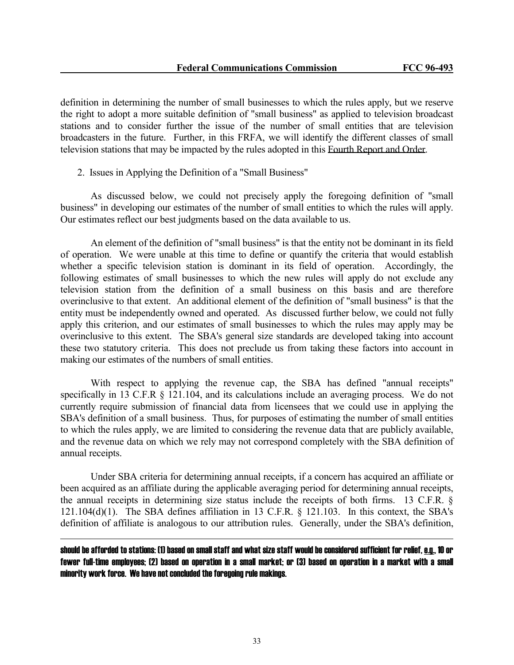definition in determining the number of small businesses to which the rules apply, but we reserve the right to adopt a more suitable definition of "small business" as applied to television broadcast stations and to consider further the issue of the number of small entities that are television broadcasters in the future. Further, in this FRFA, we will identify the different classes of small television stations that may be impacted by the rules adopted in this Fourth Report and Order.

2. Issues in Applying the Definition of a "Small Business"

 As discussed below, we could not precisely apply the foregoing definition of "small business" in developing our estimates of the number of small entities to which the rules will apply. Our estimates reflect our best judgments based on the data available to us.

 An element of the definition of "small business" is that the entity not be dominant in its field of operation. We were unable at this time to define or quantify the criteria that would establish whether a specific television station is dominant in its field of operation. Accordingly, the following estimates of small businesses to which the new rules will apply do not exclude any television station from the definition of a small business on this basis and are therefore overinclusive to that extent. An additional element of the definition of "small business" is that the entity must be independently owned and operated. As discussed further below, we could not fully apply this criterion, and our estimates of small businesses to which the rules may apply may be overinclusive to this extent. The SBA's general size standards are developed taking into account these two statutory criteria. This does not preclude us from taking these factors into account in making our estimates of the numbers of small entities.

 With respect to applying the revenue cap, the SBA has defined "annual receipts" specifically in 13 C.F.R  $\S$  121.104, and its calculations include an averaging process. We do not currently require submission of financial data from licensees that we could use in applying the SBA's definition of a small business. Thus, for purposes of estimating the number of small entities to which the rules apply, we are limited to considering the revenue data that are publicly available, and the revenue data on which we rely may not correspond completely with the SBA definition of annual receipts.

 Under SBA criteria for determining annual receipts, if a concern has acquired an affiliate or been acquired as an affiliate during the applicable averaging period for determining annual receipts, the annual receipts in determining size status include the receipts of both firms. 13 C.F.R. § 121.104(d)(1). The SBA defines affiliation in 13 C.F.R. § 121.103. In this context, the SBA's definition of affiliate is analogous to our attribution rules. Generally, under the SBA's definition,

should be afforded to stations: (1) based on small staff and what size staff would be considered sufficient for relief, e.g., 10 or fewer full-time employees; (2) based on operation in a small market; or (3) based on operation in a market with a small minority work force. We have not concluded the foregoing rule makings.

j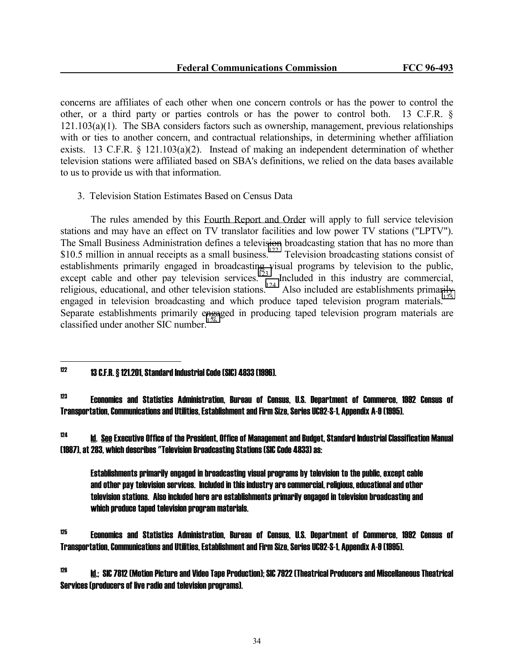concerns are affiliates of each other when one concern controls or has the power to control the other, or a third party or parties controls or has the power to control both. 13 C.F.R. § 121.103(a)(1). The SBA considers factors such as ownership, management, previous relationships with or ties to another concern, and contractual relationships, in determining whether affiliation exists. 13 C.F.R.  $\S$  121.103(a)(2). Instead of making an independent determination of whether television stations were affiliated based on SBA's definitions, we relied on the data bases available to us to provide us with that information.

3. Television Station Estimates Based on Census Data

 The rules amended by this Fourth Report and Order will apply to full service television stations and may have an effect on TV translator facilities and low power TV stations ("LPTV"). The Small Business Administration defines a television broadcasting station that has no more than \$10.5 million in annual receipts as a small business.<sup>122</sup> Television broadcasting stations consist of establishments primarily engaged in broadcasting visual programs by television to the public, except cable and other pay television services.<sup>123</sup> Included in this industry are commercial, religious, educational, and other television stations.<sup>124</sup> Also included are establishments primarily engaged in television broadcasting and which produce taped television program materials.<sup>1</sup> Separate establishments primarily engaged in producing taped television program materials are classified under another SIC number.<sup>126</sup>

#### $122$ 122 13 C.F.R. § 121.201, Standard Industrial Code (SIC) 4833 (1996).

123 Economics and Statistics Administration, Bureau of Census, U.S. Department of Commerce, 1992 Census of Transportation, Communications and Utilities, Establishment and Firm Size, Series UC92-S-1, Appendix A-9 (1995).

 $124$  Id. See Executive Office of the President, Office of Management and Budget, Standard Industrial Classification Manual (1987), at 283, which describes "Television Broadcasting Stations (SIC Code 4833) as:

 Establishments primarily engaged in broadcasting visual programs by television to the public, except cable and other pay television services. Included in this industry are commercial, religious, educational and other television stations. Also included here are establishments primarily engaged in television broadcasting and which produce taped television program materials.

 $^{125}$  Economics and Statistics Administration, Bureau of Census, U.S. Department of Commerce, 1992 Census of Transportation, Communications and Utilities, Establishment and Firm Size, Series UC92-S-1, Appendix A-9 (1995).

 $126$  Id.; SIC 7812 (Motion Picture and Video Tape Production); SIC 7922 (Theatrical Producers and Miscellaneous Theatrical Services (producers of live radio and television programs).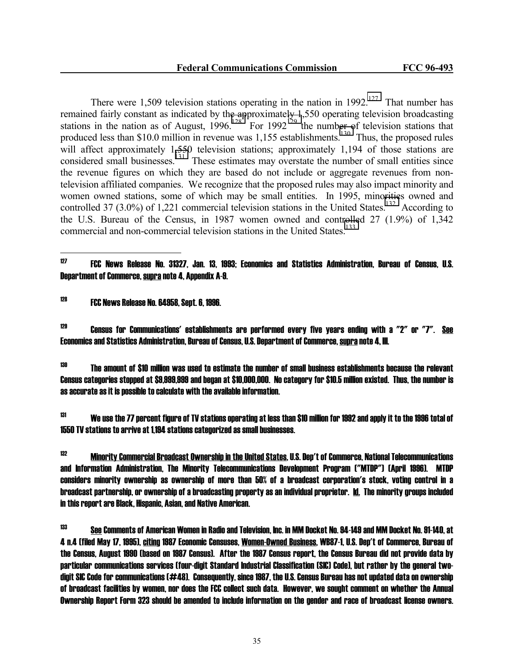There were 1,509 television stations operating in the nation in 1992.<sup>127</sup> That number has remained fairly constant as indicated by the approximately 1,550 operating television broadcasting stations in the nation as of August,  $1996$ .<sup>128</sup> For  $1992$ <sup>129</sup> the number of television stations that produced less than \$10.0 million in revenue was 1,155 establishments.<sup>130</sup> Thus, the proposed rules will affect approximately 1,550 television stations; approximately 1,194 of those stations are considered small businesses.<sup>131</sup> These estimates may overstate the number of small entities since the revenue figures on which they are based do not include or aggregate revenues from nontelevision affiliated companies. We recognize that the proposed rules may also impact minority and women owned stations, some of which may be small entities. In 1995, minorities owned and controlled 37 (3.0%) of 1,221 commercial television stations in the United States.<sup>132</sup> According to the U.S. Bureau of the Census, in 1987 women owned and controlled 27 (1.9%) of 1,342 commercial and non-commercial television stations in the United States.<sup>133</sup>

128 FCC News Release No. 64958, Sept. 6, 1996.

 $129$  Census for Communications' establishments are performed every five years ending with a  $72^{\prime\prime}$  or  $77^{\prime\prime}$ . See Economics and Statistics Administration, Bureau of Census, U.S. Department of Commerce, supra note 4, III.

 $130$  The amount of \$10 million was used to estimate the number of small business establishments because the relevant Census categories stopped at \$9,999,999 and began at \$10,000,000. No category for \$10.5 million existed. Thus, the number is as accurate as it is possible to calculate with the available information.

 $131$  We use the 77 percent figure of TV stations operating at less than \$10 million for 1992 and apply it to the 1996 total of 1550 TV stations to arrive at 1,194 stations categorized as small businesses.

132 Minority Commercial Broadcast Ownership in the United States, U.S. Dep't of Commerce, National Telecommunications and Information Administration, The Minority Telecommunications Development Program ("MTDP") (April 1996). MTDP considers minority ownership as ownership of more than 50% of a broadcast corporation's stock, voting control in a broadcast partnership, or ownership of a broadcasting property as an individual proprietor. Id. The minority groups included in this report are Black, Hispanic, Asian, and Native American.

133 See Comments of American Women in Radio and Television, Inc. in MM Docket No. 94-149 and MM Docket No. 91-140, at 4 n.4 (filed May 17, 1995), citing 1987 Economic Censuses, Women-Owned Business, WB87-1, U.S. Dep't of Commerce, Bureau of the Census, August 1990 (based on 1987 Census). After the 1987 Census report, the Census Bureau did not provide data by particular communications services (four-digit Standard Industrial Classification (SIC) Code), but rather by the general twodigit SIC Code for communications (#48). Consequently, since 1987, the U.S. Census Bureau has not updated data on ownership of broadcast facilities by women, nor does the FCC collect such data. However, we sought comment on whether the Annual Ownership Report Form 323 should be amended to include information on the gender and race of broadcast license owners.

 $127$ 127 FCC News Release No. 31327, Jan. 13, 1993; Economics and Statistics Administration, Bureau of Census, U.S. Department of Commerce, supra note 4, Appendix A-9.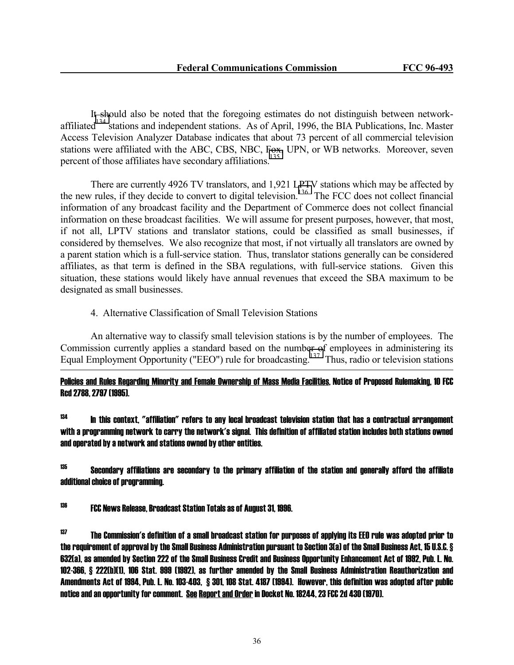It should also be noted that the foregoing estimates do not distinguish between networkaffiliated<sup>134</sup> stations and independent stations. As of April, 1996, the BIA Publications, Inc. Master Access Television Analyzer Database indicates that about 73 percent of all commercial television stations were affiliated with the ABC, CBS, NBC, Fox, UPN, or WB networks. Moreover, seven percent of those affiliates have secondary affiliations.<sup>135</sup>

 There are currently 4926 TV translators, and 1,921 LPTV stations which may be affected by the new rules, if they decide to convert to digital television.<sup>136</sup> The FCC does not collect financial information of any broadcast facility and the Department of Commerce does not collect financial information on these broadcast facilities. We will assume for present purposes, however, that most, if not all, LPTV stations and translator stations, could be classified as small businesses, if considered by themselves. We also recognize that most, if not virtually all translators are owned by a parent station which is a full-service station. Thus, translator stations generally can be considered affiliates, as that term is defined in the SBA regulations, with full-service stations. Given this situation, these stations would likely have annual revenues that exceed the SBA maximum to be designated as small businesses.

4. Alternative Classification of Small Television Stations

 An alternative way to classify small television stations is by the number of employees. The Commission currently applies a standard based on the number of employees in administering its Equal Employment Opportunity ("EEO") rule for broadcasting.<sup>137</sup> Thus, radio or television stations

Policies and Rules Regarding Minority and Female Ownership of Mass Media Facilities, Notice of Proposed Rulemaking, 10 FCC Rcd 2788, 2797 (1995).

 $134$  In this context, "affiliation" refers to any local broadcast television station that has a contractual arrangement with a programming network to carry the network's signal. This definition of affiliated station includes both stations owned and operated by a network and stations owned by other entities.

 $135$  Secondary affiliations are secondary to the primary affiliation of the station and generally afford the affiliate additional choice of programming.

136 FCC News Release, Broadcast Station Totals as of August 31, 1996.

j

 $137$  The Commission's definition of a small broadcast station for purposes of applying its EEO rule was adopted prior to the requirement of approval by the Small Business Administration pursuant to Section 3(a) of the Small Business Act, 15 U.S.C. § 632(a), as amended by Section 222 of the Small Business Credit and Business Opportunity Enhancement Act of 1992, Pub. L. No. 102-366, § 222(b)(1), 106 Stat. 999 (1992), as further amended by the Small Business Administration Reauthorization and Amendments Act of 1994, Pub. L. No. 103-403, § 301, 108 Stat. 4187 (1994). However, this definition was adopted after public notice and an opportunity for comment. See Report and Order in Docket No. 18244, 23 FCC 2d 430 (1970).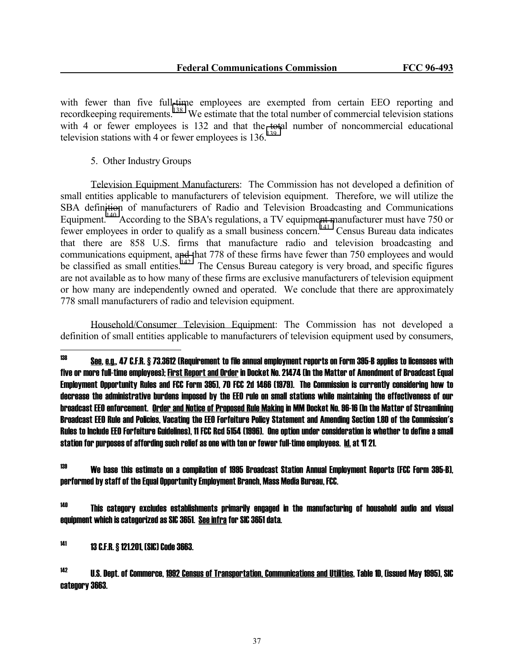with fewer than five full-time employees are exempted from certain EEO reporting and recordkeeping requirements.<sup>138</sup> We estimate that the total number of commercial television stations with 4 or fewer employees is 132 and that the total number of noncommercial educational television stations with 4 or fewer employees is  $136<sup>139</sup>$ 

# 5. Other Industry Groups

 Television Equipment Manufacturers: The Commission has not developed a definition of small entities applicable to manufacturers of television equipment. Therefore, we will utilize the SBA definition of manufacturers of Radio and Television Broadcasting and Communications Equipment.<sup>140</sup> According to the SBA's regulations, a TV equipment manufacturer must have 750 or fewer employees in order to qualify as a small business concern.<sup>141</sup> Census Bureau data indicates that there are 858 U.S. firms that manufacture radio and television broadcasting and communications equipment, and that 778 of these firms have fewer than 750 employees and would be classified as small entities.<sup>142</sup> The Census Bureau category is very broad, and specific figures are not available as to how many of these firms are exclusive manufacturers of television equipment or how many are independently owned and operated. We conclude that there are approximately 778 small manufacturers of radio and television equipment.

 Household/Consumer Television Equipment: The Commission has not developed a definition of small entities applicable to manufacturers of television equipment used by consumers,

139 We base this estimate on a compilation of 1995 Broadcast Station Annual Employment Reports (FCC Form 395-B), performed by staff of the Equal Opportunity Employment Branch, Mass Media Bureau, FCC.

<sup>140</sup> This category excludes establishments primarily engaged in the manufacturing of household audio and visual equipment which is categorized as SIC 3651. See infra for SIC 3651 data.

141 13 C.F.R. § 121.201, (SIC) Code 3663.

142 U.S. Dept. of Commerce, 1992 Census of Transportation, Communications and Utilities, Table 1D, (issued May 1995), SIC category 3663.

<sup>138</sup> 138 See, e.g., 47 C.F.R. § 73.3612 (Requirement to file annual employment reports on Form 395-B applies to licensees with five or more full-time employees); First Report and Order in Docket No. 21474 (In the Matter of Amendment of Broadcast Equal Employment Opportunity Rules and FCC Form 395), 70 FCC 2d 1466 (1979). The Commission is currently considering how to decrease the administrative burdens imposed by the EEO rule on small stations while maintaining the effectiveness of our broadcast EEO enforcement. Order and Notice of Proposed Rule Making in MM Docket No. 96-16 (In the Matter of Streamlining Broadcast EEO Rule and Policies, Vacating the EEO Forfeiture Policy Statement and Amending Section 1.80 of the Commission's Rules to Include EEO Forfeiture Guidelines), 11 FCC Rcd 5154 (1996). One option under consideration is whether to define a small station for purposes of affording such relief as one with ten or fewer full-time employees. Id. at ¶ 21.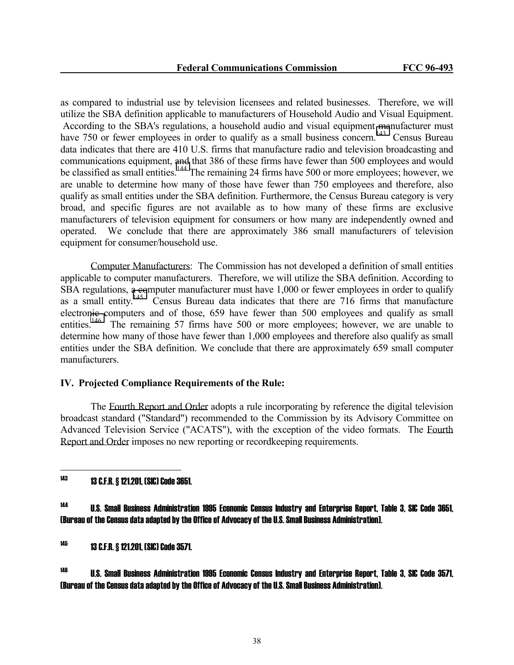as compared to industrial use by television licensees and related businesses. Therefore, we will utilize the SBA definition applicable to manufacturers of Household Audio and Visual Equipment. According to the SBA's regulations, a household audio and visual equipment manufacturer must have 750 or fewer employees in order to qualify as a small business concern.<sup>143</sup> Census Bureau data indicates that there are 410 U.S. firms that manufacture radio and television broadcasting and communications equipment, and that 386 of these firms have fewer than 500 employees and would be classified as small entities.<sup>144</sup> The remaining 24 firms have 500 or more employees; however, we are unable to determine how many of those have fewer than 750 employees and therefore, also qualify as small entities under the SBA definition. Furthermore, the Census Bureau category is very broad, and specific figures are not available as to how many of these firms are exclusive manufacturers of television equipment for consumers or how many are independently owned and operated. We conclude that there are approximately 386 small manufacturers of television equipment for consumer/household use.

 Computer Manufacturers: The Commission has not developed a definition of small entities applicable to computer manufacturers. Therefore, we will utilize the SBA definition. According to SBA regulations, a computer manufacturer must have 1,000 or fewer employees in order to qualify as a small entity.<sup>145</sup> Census Bureau data indicates that there are  $716$  firms that manufacture electronic computers and of those, 659 have fewer than 500 employees and qualify as small entities.<sup>146</sup> The remaining 57 firms have 500 or more employees; however, we are unable to determine how many of those have fewer than 1,000 employees and therefore also qualify as small entities under the SBA definition. We conclude that there are approximately 659 small computer manufacturers.

### **IV. Projected Compliance Requirements of the Rule:**

 The Fourth Report and Order adopts a rule incorporating by reference the digital television broadcast standard ("Standard") recommended to the Commission by its Advisory Committee on Advanced Television Service ("ACATS"), with the exception of the video formats. The Fourth Report and Order imposes no new reporting or recordkeeping requirements.

143 13 C.F.R. § 121.201, (SIC) Code 3651.

j

144 U.S. Small Business Administration 1995 Economic Census Industry and Enterprise Report, Table 3, SIC Code 3651, (Bureau of the Census data adapted by the Office of Advocacy of the U.S. Small Business Administration).

145 13 C.F.R. § 121.201, (SIC) Code 3571.

 $146$  U.S. Small Business Administration 1995 Economic Census Industry and Enterprise Report, Table 3, SIC Code 3571, (Bureau of the Census data adapted by the Office of Advocacy of the U.S. Small Business Administration).